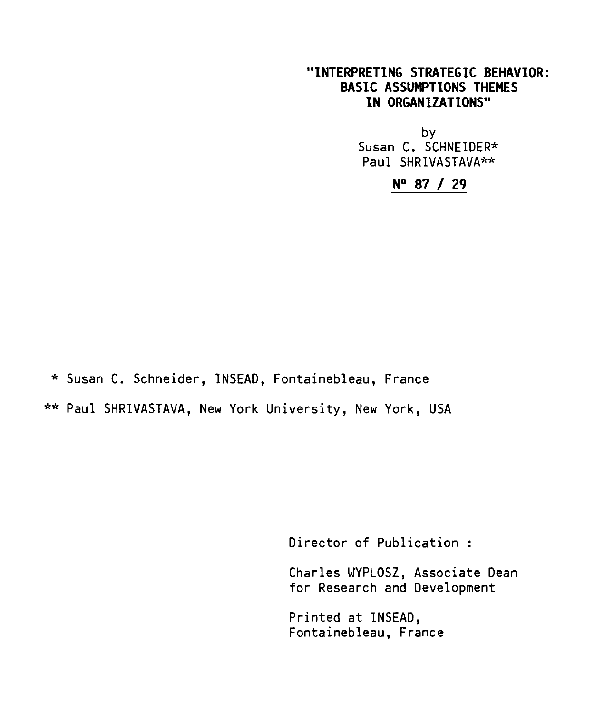## **"INTERPRETING STRATEGIC BEHAVIOR: BASIC ASSOMPTIONS THEMES IN ORGANIZATIONS"**

by Susan C. SCHNEIDER\* Paul SHRIVASTAVA\*\*

**N° 87 / 29** 

\* Susan C. Schneider, INSEAD, Fontainebleau, France \*\* Paul SHRIVASTAVA, New York University, New York, USA

Director of Publication :

Charles WYPLOSZ, Associate Dean for Research and Development

Printed at INSEAD, Fontainebleau, France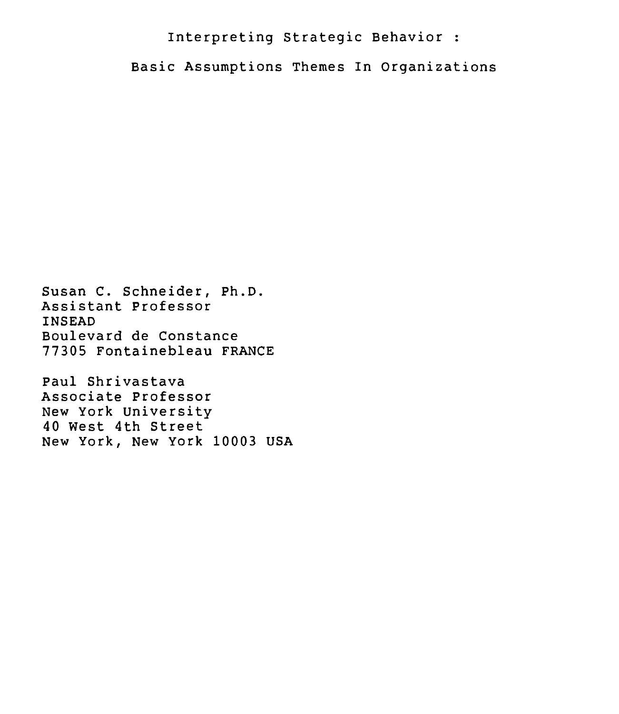# Interpreting Strategic Behavior :

Basic Assumptions Themes In Organizations

Susan C. Schneider, Ph.D. Assistant Professor INSEAD Boulevard de Constance 77305 Fontainebleau FRANCE

Paul Shrivastava Associate Professor New York University 40 West 4th Street New York, New York 10003 USA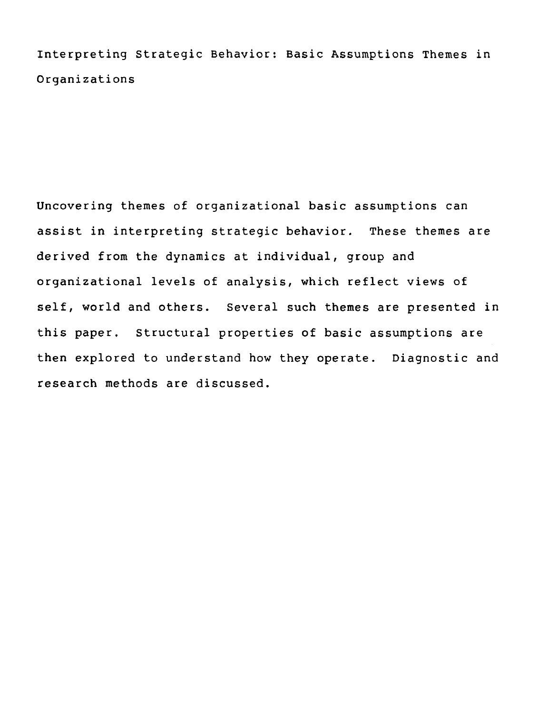Interpreting Strategic Behavior: Basic Assumptions Themes in Organizations

Uncovering themes of organizational basic assumptions can assist in interpreting strategic behavior. These themes are derived from the dynamics at individual, group and organizational levels of analysis, which reflect views of self, world and others. Several such themes are presented in this paper. Structural properties of basic assumptions are then explored to understand how they operate. Diagnostic and research methods are discussed.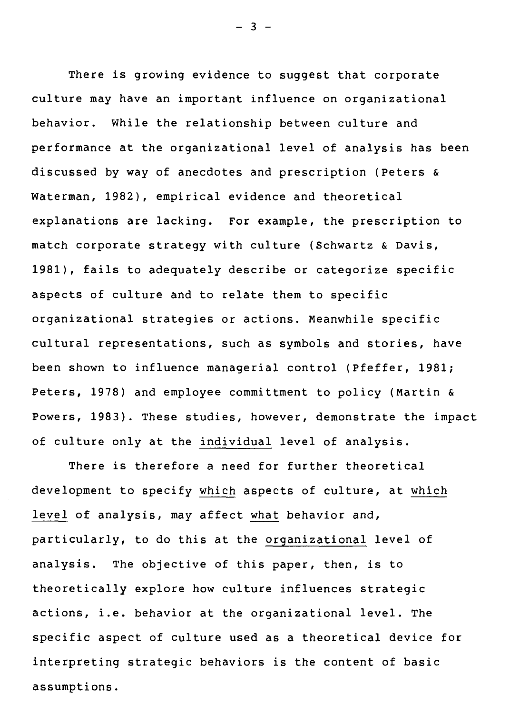There is growing evidence to suggest that corporate culture may have an important influence on organizational behavior. While the relationship between culture and performance at the organizational level of analysis has been discussed by way of anecdotes and prescription (Peters & Waterman, 1982), empirical evidence and theoretical explanations are lacking. For example, the prescription to match corporate strategy with culture (Schwartz & Davis, 1981), fails to adequately describe or categorize specific aspects of culture and to relate them to specific organizational strategies or actions. Meanwhile specific cultural representations, such as symbols and stories, have been shown to influence managerial control (Pfeffer, 1981; Peters, 1978) and employee committment to policy (Martin & Powers, 1983). These studies, however, demonstrate the impact of culture only at the individual level of analysis.

There is therefore a need for further theoretical development to specify which aspects of culture, at which level of analysis, may affect what behavior and, particularly, to do this at the organizational level of analysis. The objective of this paper, then, is to theoretically explore how culture influences strategic actions, i.e. behavior at the organizational level. The specific aspect of culture used as a theoretical device for interpreting strategic behaviors is the content of basic assumptions.

 $- 3 -$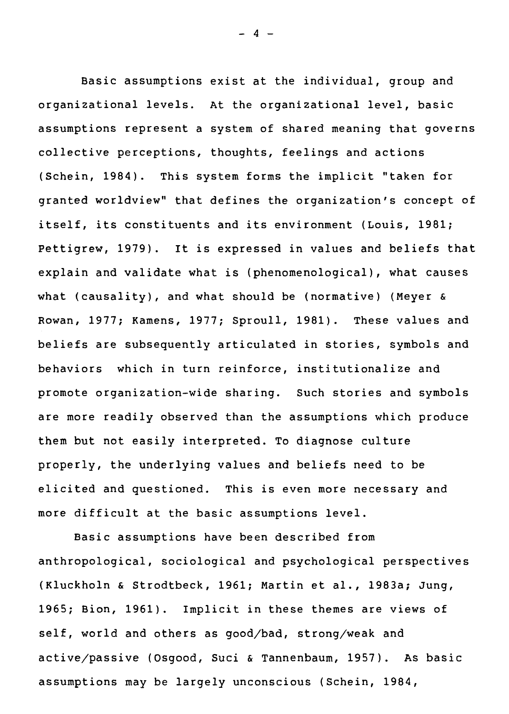Basic assumptions exist at the individual, group and organizational levels. At the organizational level, basic assumptions represent a system of shared meaning that governs collective perceptions, thoughts, feelings and actions (Schein, 1984). This system forms the implicit "taken for granted worldview" that defines the organization's concept of itself, its constituents and its environment (Louis, 1981; Pettigrew, 1979). it is expressed in values and beliefs that explain and validate what is (phenomenological), what causes what (causality), and what should be (normative) (Meyer & Rowan, 1977; Kamens, 1977; Sproull, 1981). These values and beliefs are subsequently articulated in stories, symbols and behaviors which in turn reinforce, institutionalize and promote organization-wide sharing. Such stories and symbols are more readily observed than the assumptions which produce them but not easily interpreted. To diagnose culture properly, the underlying values and beliefs need to be elicited and questioned. This is even more necessary and more difficult at the basic assumptions level.

Basic assumptions have been described from anthropological, sociological and psychological perspectives (Kluckholn & Strodtbeck, 1961; Martin et al., 1983a; Jung, 1965; Bion, 1961). Implicit in these themes are views of self, world and others as good/bad, strong/weak and active/passive (Osgood, Suci & Tannenbaum, 1957). As basic assumptions may be largely unconscious (Schein, 1984,

 $- 4 -$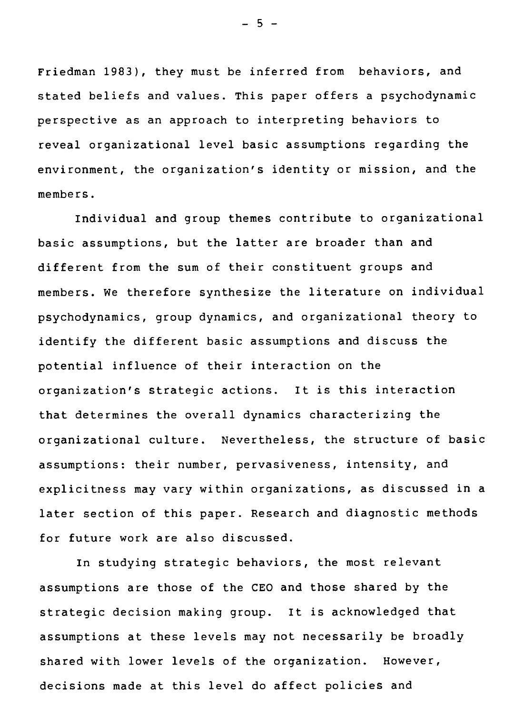Friedman 1983), they must be inferred from behaviors, and stated beliefs and values. This paper offers a psychodynamic perspective as an approach to interpreting behaviors to reveal organizational level basic assumptions regarding the environnent, the organization's identity or mission, and the members.

Individual and group themes contribute to organizational basic assumptions, but the latter are broader than and different from the sum of their constituent groups and members. We therefore synthesize the literature on individual psychodynamics, group dynamics, and organizational theory to identify the different basic assumptions and discuss the potential influence of their interaction on the organization's strategic actions. It is this interaction that determines the overall dynamics characterizing the organizational culture. Nevertheless, the structure of basic assumptions: their number, pervasiveness, intensity, and explicitness may vary within organizations, as discussed in a later section of this paper. Research and diagnostic methods for future work are also discussed.

In studying strategic behaviors, the most relevant assumptions are those of the CE0 and those shared by the strategic decision making group. It is acknowledged that assumptions at these levels may not necessarily be broadly shared with lower levels of the organization. However, decisions made at this level do affect policies and

 $-5 -$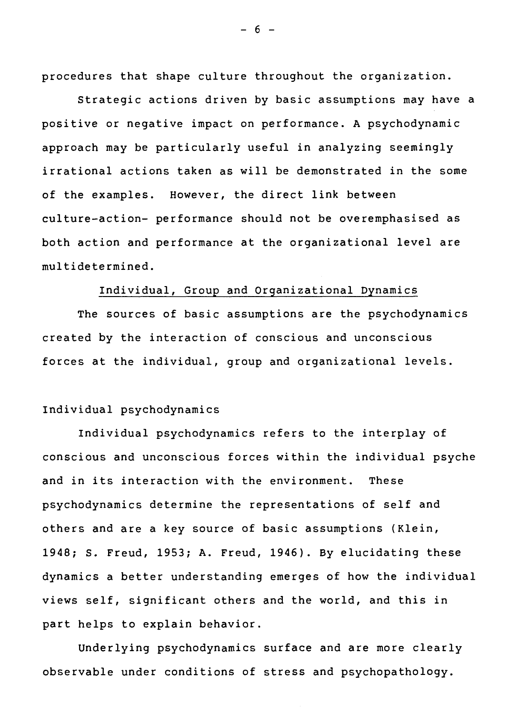procedures that shape culture throughout the organization.

Strategic actions driven by basic assumptions may have a positive or negative impact on performance. A psychodynamic approach may be particularly useful in analyzing seemingly irrational actions taken as will be demonstrated in the some of the examples. However, the direct link between culture-action- performance should not be overemphasised as both action and performance at the organizational level are multidetermined.

#### Individual, Group and Organizational Dynamics

The sources of basic assumptions are the psychodynamics created by the interaction of conscious and unconscious forces at the individual, group and organizational levels.

#### Individual psychodynamics

Individual psychodynamics refers to the interplay of conscious and unconscious forces within the individual psyche and in its interaction with the environment. These psychodynamics determine the representations of self and others and are a key source of basic assumptions (Klein, 1948; S. Freud, 1953; A. Freud, 1946). By elucidating these dynamics a better understanding emerges of how the individual views self, significant others and the world, and this in part helps to explain behavior.

Underlying psychodynamics surface and are more clearly observable under conditions of stress and psychopathology.

 $- 6 -$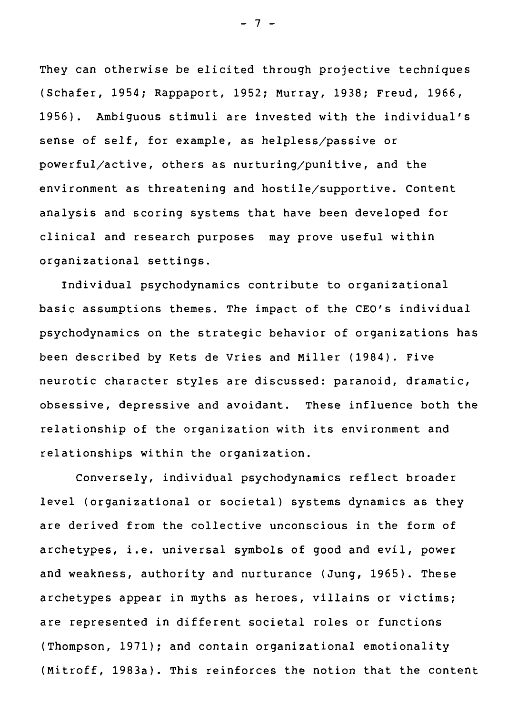They can otherwise be elicited through projective techniques (Schafer, 1954; Rappaport, 1952; Murray, 1938; Freud, 1966, 1956). Ambiguous stimuli are invested with the individual's sense of self, for example, as helpless/passive or powerful/active, others as nurturing/punitive, and the environment as threatening and hostile/supportive. Content analysis and scoring systems that have been developed for clinical and research purposes may prove useful within organizational settings.

Individual psychodynamics contribute to organizational basic assumptions themes. The impact of the CEO's individual psychodynamics on the strategic behavior of organizations has been described by Kets de Vries and Miller (1984). Five neurotic character styles are discussed: paranoid, dramatic, obsessive, depressive and avoidant. These influence both the relationship of the organization with its environment and relationships within the organization.

Conversely, individual psychodynamics reflect broader level (organizational or societal) systems dynamics as they are derived from the collective unconscious in the form of archetypes, i.e. universal symbols of good and evil, power and weakness, authority and nurturance (Jung, 1965). These archetypes appear in myths as heroes, villains or victims; are represented in different societal roles or functions (Thompson, 1971); and contain organizational emotionality (Mitroff, 1983a). This reinforces the notion that the content

 $- 7 -$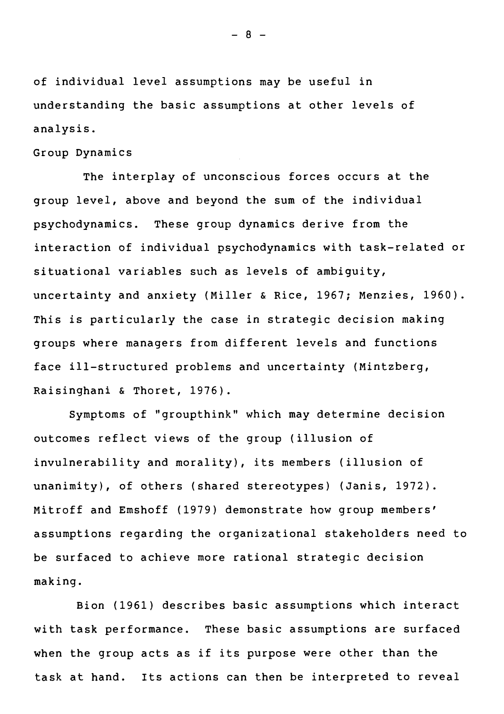of individual level assumptions may be useful in understanding the basic assumptions at other levels of analysis.

#### Group Dynamics

The interplay of unconscious forces occurs at the group level, above and beyond the sum of the individual psychodynamics. These group dynamics derive from the interaction of individual psychodynamics with task-related or situational variables such as levels of ambiguity, uncertainty and anxiety (Miller & Rice, 1967; Menzies, 1960). This is particularly the case in strategic decision making groups where managers from different levels and functions face ill-structured problems and uncertainty (Mintzberg, Raisinghani & Thoret, 1976).

Symptoms of "groupthink" which may determine decision outcomes reflect views of the group (illusion of invulnerability and morality), its members (illusion of unanimity), of others (shared stereotypes) (Janis, 1972). Mitroff and Emshoff (1979) demonstrate how group members' assumptions regarding the organizational stakeholders need to be surfaced to achieve more national strategic decision making.

Bion (1961) describes basic assumptions which interact with task performance. These basic assumptions are surfaced when the group acts as if its purpose were other than the task at hand. Its actions can then be interpreted to reveal

 $- 8 -$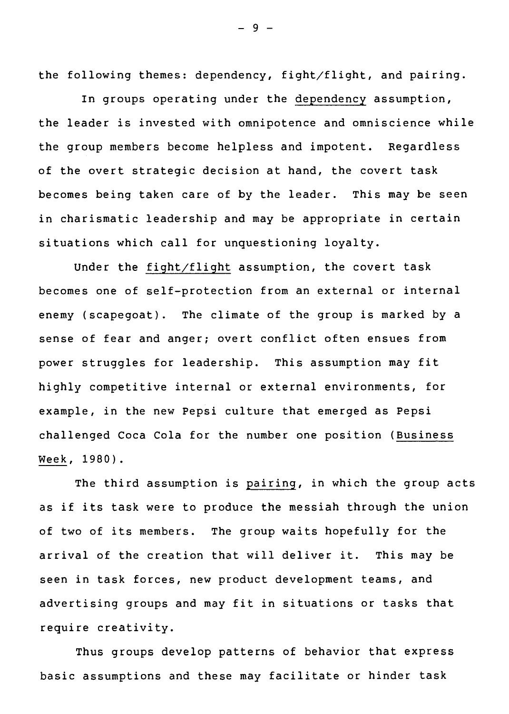the following themes: dependency, fight/flight, and pairing.

In groups operating under the dependency assumption, the leader is invested with omnipotence and omniscience while the group members become helpless and impotent. Regardless of the overt strategic decision at hand, the covert task becomes being taken care of by the leader. This may be seen in charismatic leadership and may be appropriate in certain situations which call for unquestioning loyalty.

Under the fight/flight assumption, the covert task becomes one of self-protection from an external or internai enemy (scapegoat). The climate of the group is marked by a sense of fear and anger; overt conflict often ensues from power struggles for leadership. This assumption may fit highly competitive internai or external environments, for example, in the new Pepsi culture that emerged as Pepsi challenged Coca Cola for the number one position (Business Week, 1980).

The third assumption is pairing, in which the group acts as if its task were to produce the messiah through the union of two of its members. The group waits hopefully for the arrivai of the creation that will deliver it. This may be seen in task forces, new product development teams, and advertising groups and may fit in situations or tasks that require creativity.

Thus groups develop patterns of behavior that express basic assumptions and these may facilitate or hinder task

 $-9 -$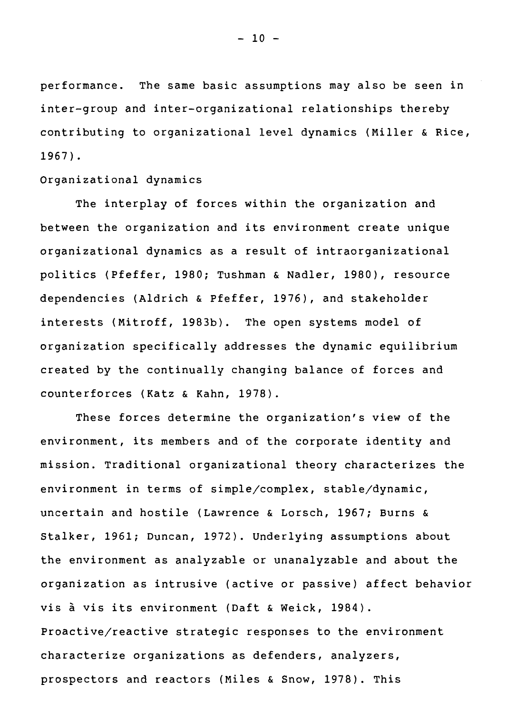performance. The same basic assumptions may also be seen in inter-group and inter-organizational relationships thereby contributing to organizational level dynamics (Miller & Rice, 1967).

### Organizational dynamics

The interplay of forces within the organization and between the organization and its environment create unique organizational dynamics as a result of intraorganizational politics (Pfeffer, 1980; Tushman & Nadler, 1980), resource dependencies (Aldrich & Pfeffer, 1976), and stakeholder interests (Mitroff, 1983b). The open systems model of organization specifically addresses the dynamic equilibrium created by the continually changing balance of forces and counterforces (Katz & Kahn, 1978).

These forces determine the organization's view of the environment, its members and of the corporate identity and mission. Traditional organizational theory characterizes the environment in terms of simple/complex, stable/dynamic, uncertain and hostile (Lawrence & Lorsch, 1967; Burns & Stalker, 1961; Duncan, 1972). Underlying assumptions about the environment as analyzable or unanalyzable and about the organization as intrusive (active or passive) affect behavior vis à vis its environment (Daft & Weick, 1984). Proactive/reactive strategic responses to the environment characterize organizations as defenders, analyzers, prospectons and reactors (Miles & Snow, 1978). This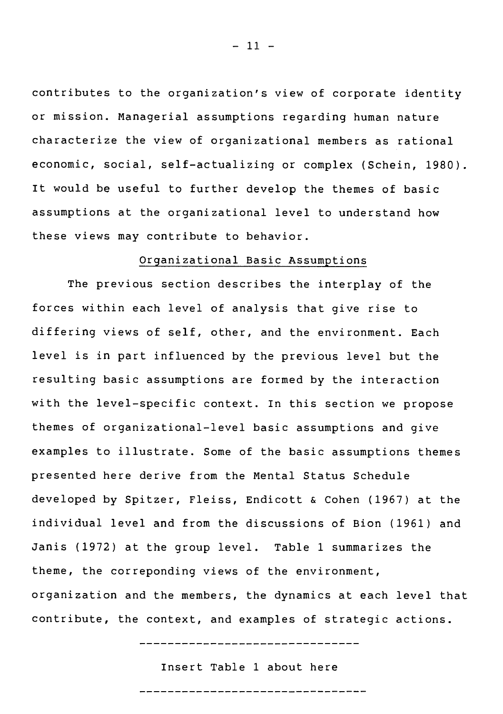contributes to the organization's view of corporate identity or mission. Managerial assumptions regarding human nature characterize the view of organizational members as rational economic, social, self-actualizing or complex (Schein, 1980). It would be useful to further develop the themes of basic assumptions at the organizational level to understand how these views may contribute to behavior.

### Organizational Basic Assumptions

The previous section describes the interplay of the forces within each level of analysis that give rise to differing views of self, other, and the environment. Each level is in part influenced by the previous level but the resulting basic assumptions are formed by the interaction with the level-specific context. In this section we propose themes of organizational-level basic assumptions and give examples to illustrate. Some of the basic assumptions themes presented here derive from the Mental Status Schedule developed by Spitzer, Fleiss, Endicott & Cohen (1967) at the individual level and from the discussions of Sion (1961) and Janis (1972) at the group level. Table 1 summarizes the theme, the correponding views of the environment, organization and the members, the dynamics at each level that contribute, the context, and examples of strategic actions.

---------------------------------

Insert Table 1 about here

----------------------------------

 $-11 -$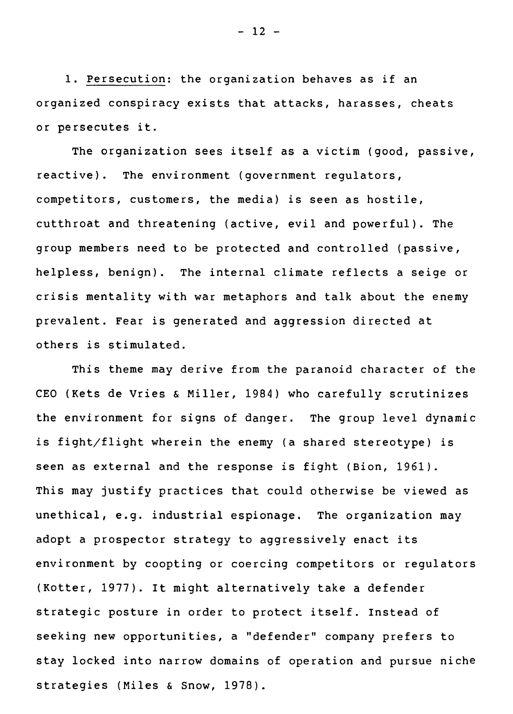1. Persecution: the organization behaves as if an organized conspiracy exists that attacks, harasses, cheats or persecutes it.

The organization sees itself as a victim (good, passive, reactive). The environment (government regulators, competitors, customers, the media) is seen as hostile, cutthroat and threatening (active, evil and powerful). The group members need to be protected and controlled (passive, helpless, benign). The internai climate reflects a seige or crisis mentality with war metaphors and talk about the enemy prevalent. Fear is generated and aggression directed at others is stimulated.

This theme may derive from the paranoid character of the CEO (Kets de Vries & Miller, 1984) who carefully scrutinizes the environment for signs of danger. The group level dynamic is fight/flight wherein the enemy (a shared stereotype) is seen as external and the response is fight (Sion, 1961). This may justify practices that could otherwise be viewed as unethical, e.g. industrial espionage. The organization may adopt a prospector strategy to aggressively enact its environment by coopting or coercing competitors or regulators (Kotter, 1977). It might alternatively take a defender strategic posture in order to protect itself. Instead of seeking new opportunities, a "defender" company prefers to stay locked into narrow domains of operation and pursue niche strategies (Miles & Snow, 1978).

 $- 12 -$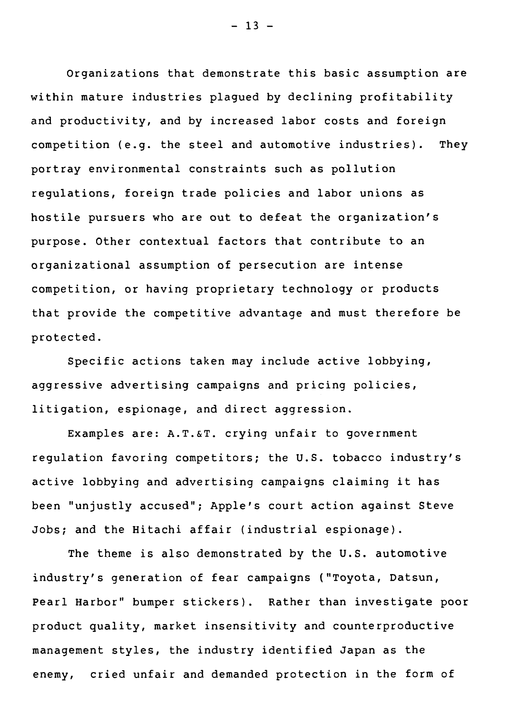Organizations that demonstrate this basic assumption are within mature industries plagued by declining profitability and productivity, and by increased labor costs and foreign competition (e.g. the steel and automotive industries). They portray environmental constraints such as pollution regulations, foreign trade policies and labor unions as hostile pursuers who are out to defeat the organization's purpose. Other contextual factors that contribute to an organizational assumption of persecution are intense competition, or having proprietary technology or products that provide the competitive advantage and must therefore be protected.

Specific actions taken may include active lobbying, aggressive advertising campaigns and pricing policies, litigation, espionage, and direct aggression.

Examples are: A.T.&T. crying unfair to government regulation favoring competitors; the U.S. tobacco industry's active lobbying and advertising campaigns claiming it has been "unjustly accused"; Apple's court action against Steve Jobs; and the Hitachi affair (industrial espionage).

The theme is also demonstrated by the U.S. automotive industry's generation of fear campaigns ("Toyota, Datsun, Pearl Harbor" bumper stickers). Rather than investigate poor product quality, market insensitivity and counterproductive management styles, the industry identified Japan as the enemy, cried unfair and demanded protection in the form of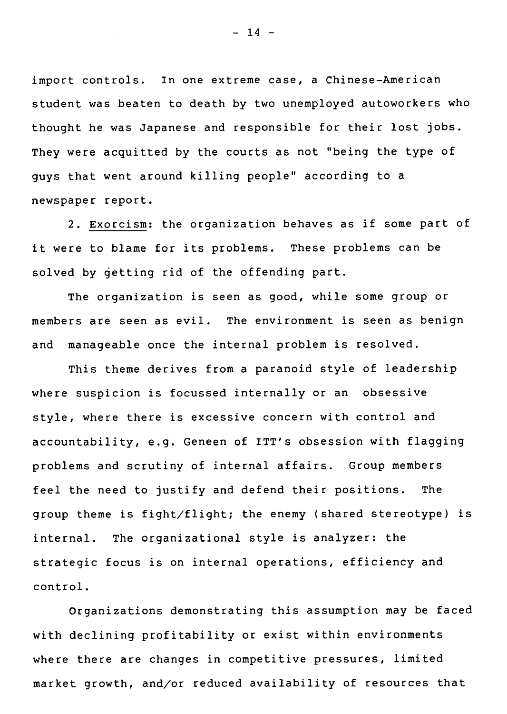import controls. In one extreme case, a Chinese-American student was beaten to death by two unemployed autoworkers who thought he was Japanese and responsible for their lost jobs. They were acquitted by the courts as not "being the type of guys that went around killing people" according to a newspaper report.

2. Exorcism: the organization behaves as if some part of it were to blame for its problems. These problems can be solved by qetting rid of the offending part.

The organization is seen as good, while some group or members are seen as evil. The environment is seen as benign and manageable once the internai problem is resolved.

This theme derives from a paranoid style of leadership where suspicion is focussed internally or an obsessive style, where there is excessive concern with control and accountability, e.g. Geneen of ITT's obsession with flagging problems and scrutiny of internai affairs. Group members feel the need to justify and defend their positions. The group theme is fight/flight; the enemy (shared stereotype) is internal. The organizational style is analyzer: the strategic focus is on internai operations, efficiency and control.

Organizations demonstrating this assumption may be faced with declining profitability or exist within environments where there are changes in competitive pressures, limited market growth, and/or reduced availability of resources that

 $- 14 -$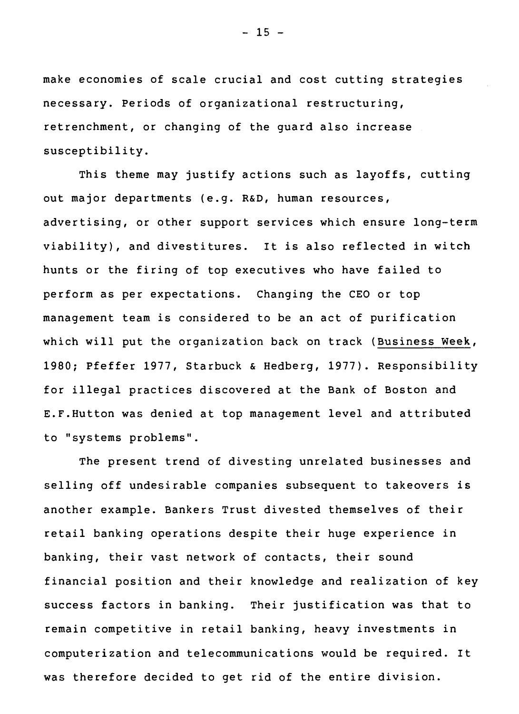make economies of scale crucial and cost cutting strategies necessary. Periods of organizational restructuring, retrenchment, or changing of the guard also increase susceptibility.

This theme may justify actions such as layoffs, cutting out major departments (e.g. R&D, human resources, advertising, or other support services which ensure long-term viability), and divestitures. It is also reflected in witch hunts or the firing of top executives who have failed to perform as per expectations. Changing the CE0 or top management team is considered to be an act of purification which will put the organization back on track (Business Week, 1980; Pfeffer 1977, Starbuck & Hedberg, 1977). Responsibility for illegal practices discovered at the Bank of Boston and E.F.Hutton was denied at top management level and attributed to "systems problems".

The present trend of divesting unrelated businesses and selling off undesirable companies subsequent to takeovers is another example. Bankers Trust divested themselves of their retail banking operations despite their huge experience in banking, their vast network of contacts, their sound financial position and their knowledge and realization of key success factors in banking. Their justification was that to remain competitive in retail banking, heavy investments in computerization and telecommunications would be required. It was therefore decided to get rid of the entire division.

 $- 15 -$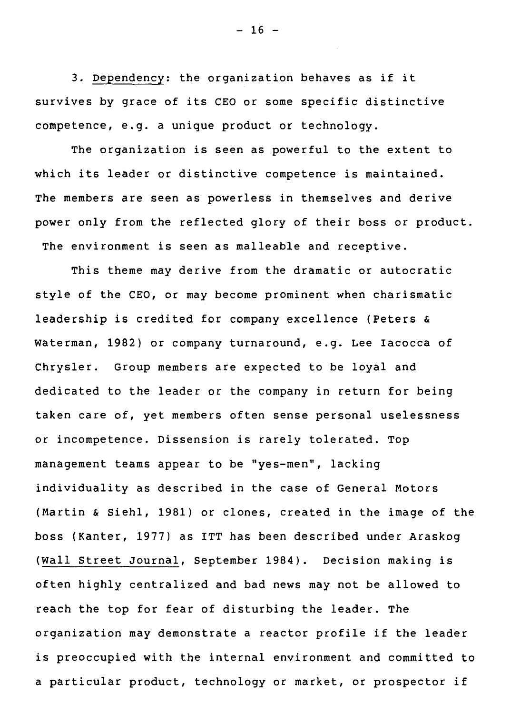3. Dependency: the organization behaves as if it survives by grace of its CEO or some specific distinctive competence, e.g. a unique product or technology.

 $- 16 -$ 

The organization is seen as powerful to the extent to which its leader or distinctive competence is maintained. The members are seen as powerless in themselves and derive power only from the reflected glory of their boss or product. The environment is seen as malleable and receptive.

This theme may derive from the dramatic or autocratic style of the CEO, or may become prominent when charismatic leadership is credited for company excellence (Peters & Waterman, 1982) or company turnaround, e.g. Lee Iacocca of Chrysler. Group members are expected to be loyal and dedicated to the leader or the company in return for being taken care of, yet members often sense personal uselessness or incompetence. Dissension is rarely tolerated. Top management teams appear to be "yes-men", lacking individuality as described in the case of General Motors (Martin & Siehl, 1981) or clones, created in the image of the boss (Kanter, 1977) as ITT has been described under Araskog (Wall Street Journal, September 1984). Decision making is often highly centralized and bad news may not be allowed to reach the top for fear of disturbing the leader. The organization may demonstrate a reactor profile if the leader is preoccupied with the internai environment and committed to a particular product, technology or market, or prospector if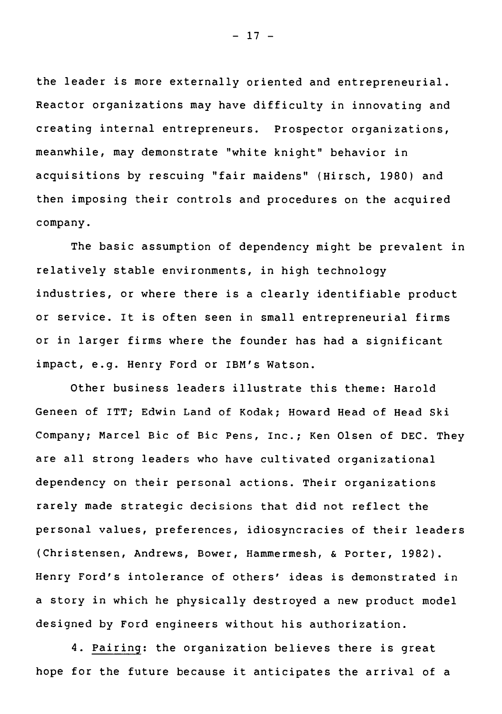the leader is more externally oriented and entrepreneurial. Reactor organizations may have difficulty in innovating and creating internai entrepreneurs. Prospector organizations, meanwhile, may demonstrate "white knight" behavior in acquisitions by rescuing "fair maidens" (Hirsch, 1980) and then imposing their controls and procedures on the acquired company.

The basic assumption of dependency might be prevalent in relatively stable environments, in high technology industries, or where there is a clearly identifiable product or service. It is often seen in small entrepreneurial firms or in larger firms where the founder has had a significant impact, e.g. Henry Ford or IBM's Watson.

Other business leaders illustrate this theme: Harold Geneen of ITT; Edwin Land of Kodak; Howard Head of Head Ski Company; Marcel Bic of Bic Pens, Inc.; Ken Olsen of DEC. They are ail strong leaders who have cultivated organizational dependency on their personal actions. Their organizations rarely made strategic decisions that did not reflect the personal values, preferences, idiosyncracies of their leaders (Christensen, Andrews, Bower, Hammermesh, & Porter, 1982). Henry Ford's intolerance of others' ideas is demonstrated in a story in which he physically destroyed a new product model designed by Ford engineers without his authorization.

4. Pairing: the organization believes there is great hope for the future because it anticipates the arrivai of a

 $- 17 -$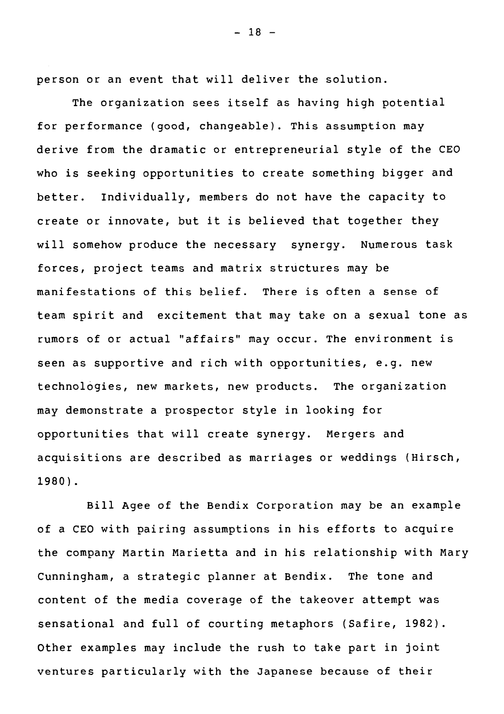person or an event that will deliver the solution.

The organization sees itself as having high potential for performance (good, changeable). This assumption may derive from the dramatic or entrepreneurial style of the CE0 who is seeking opportunities to create something bigger and better. Individually, members do not have the capacity to create or innovate, but it is believed that together they will somehow produce the necessary synergy. Numerous task forces, project teams and matrix structures may be manifestations of this belief. There is often a sense of team spirit and excitement that may take on a sexual tone as rumors of or actual "affairs" may occur. The environment is seen as supportive and rich with opportunities, e.g. new technologies, new markets, new products. The organization may demonstrate a prospector style in looking for opportunities that will create synergy. Mergers and acquisitions are described as marriages or weddings (Hirsch, 1980).

Bill Agee of the Bendix Corporation may be an example of a CE0 with pairing assumptions in his efforts to acquire the company Martin Marietta and in his relationship with Mary Cunningham, a strategic planner at Bendix. The tone and content of the media coverage of the takeover attempt was sensational and full of courting metaphors (Safire, 1982). Other examples may include the rush to take part in joint ventures particularly with the Japanese because of their

 $- 18 -$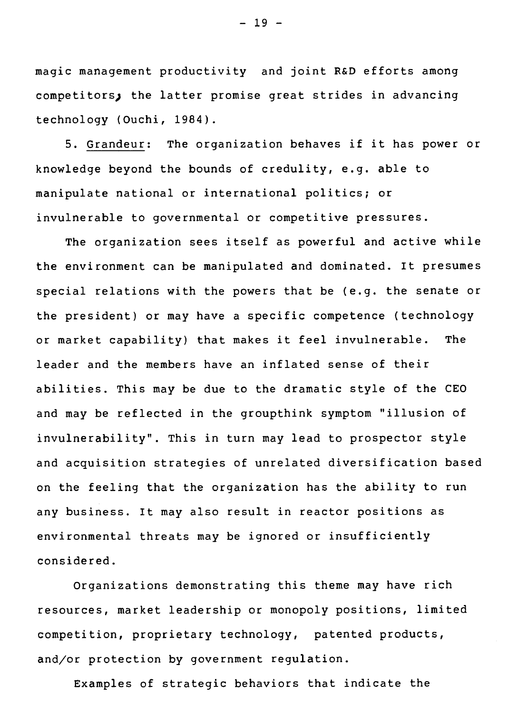magic management productivity and joint **R&D** efforts among competitors; the latter promise great strides in advancing technology (Ouchi, 1984).

5. Grandeur: The organization behaves if it has power or knowledge beyond the bounds of credulity, e.g. able to manipulate national or international politics; or invulnerable to governmental or competitive pressures.

The organization sees itself as powerful and active while the environnent can be manipulated and dominated. It presumes special relations with the powers that be (e.g. the senate or the president) or may have a specific competence (technology or market capability) that makes it feel invulnerable. The leader and the members have an inflated sense of their abilities. This may be due to the dramatic style of the CEO and may be reflected in the groupthink symptom "illusion of invulnerability". This in turn may lead to prospector style and acquisition strategies of unrelated diversification based on the feeling that the organization has the ability to run any business. It may also result in reactor positions as environmental threats may be ignored or insufficiently considered.

Organizations demonstrating this theme may have rich resources, market leadership or monopoly positions, limited competition, proprietary technology, patented products, and/or protection by government regulation.

Examples of strategic behaviors that indicate the

 $- 19 -$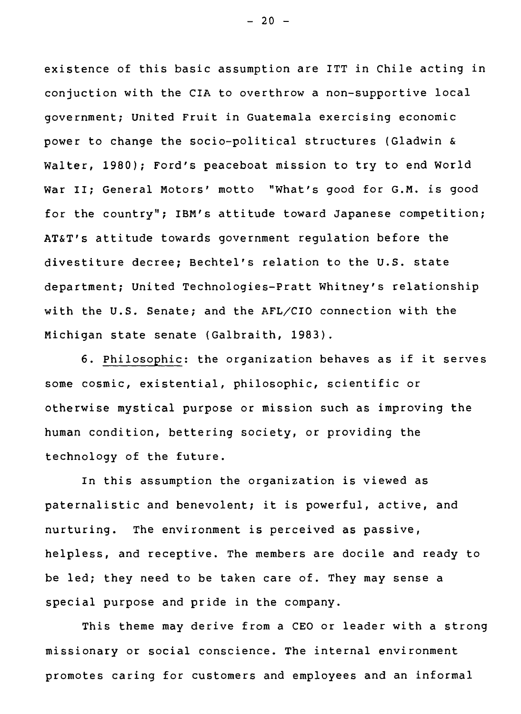existence of this basic assumption are ITT in Chile acting in conjuction with the CIA to overthrow a non-supportive local government; United Fruit in Guatemala exercising economic power to change the socio-political structures (Gladwin & Walter, 1980); Ford's peaceboat mission to try to end World War II; General Motors' motto "What's good for G.M. is good for the country"; IBM's attitude toward Japanese competition; AT&T's attitude towards government regulation before the divestiture decree; Bechtel's relation to the U.S. state department; United Technologies-Pratt Whitney's relationship with the U.S. Senate; and the  $AFL/CIO$  connection with the Michigan state senate (Galbraith, 1983).

6. Philosophic: the organization behaves as if it serves some cosmic, existential, philosophic, scientific or otherwise mystical purpose or mission such as improving the human condition, bettering society, or providing the technology of the future.

In this assumption the organization is viewed as paternalistic and benevolent; it is powerful, active, and nurturing. The environment is perceived as passive, helpless, and receptive. The members are docile and ready to be led; they need to be taken care of. They may sense a special purpose and pride in the company.

This theme may derive from a CEO or leader with a strong missionary or social conscience. The internai environment promotes caring for customers and employees and an informai

 $- 20 -$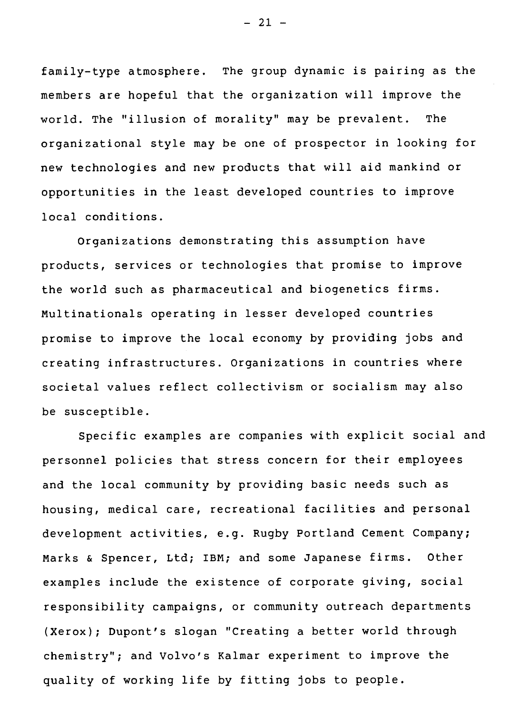family-type atmosphere. The group dynamic is pairing as the members are hopeful that the organization will improve the world. The "illusion of morality" may be prevalent. The organizational style may be one of prospector in looking for new technologies and new products that will aid mankind or opportunities in the least developed countries to improve local conditions.

Organizations demonstrating this assumption have products, services or technologies that promise to improve the world such as pharmaceutical and biogenetics firms. Multinationals operating in lesser developed countries promise to improve the local economy by providing jobs and creating infrastructures. Organizations in countries where societal values reflect collectivism or socialism may also be susceptible.

Specific examples are companies with explicit social and personnel policies that stress concern for their employees and the local community by providing basic needs such as housing, medical care, recreational facilities and personal development activities, e.g. Rugby Portland Cement Company; Marks & Spencer, Ltd; IBM; and some Japanese firms. Other examples include the existence of corporate giving, social responsibility campaigns, or community outreach departments (Xerox); Dupont's slogan "Creating a better world through chemistry"; and Volvo's Kalmar experiment to improve the quality of working life by fitting jobs to people.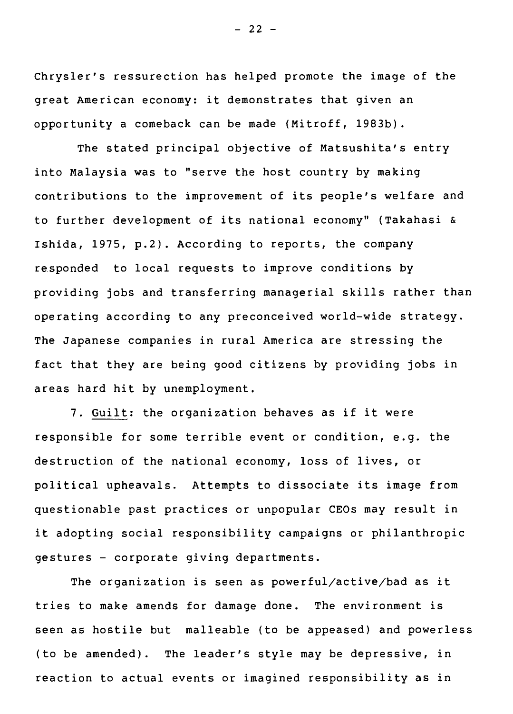Chrysler's ressurection has helped promote the image of the great American economy: it demonstrates that given an opportunity a comeback can be made (Mitroff, 1983b).

The stated principal objective of Matsushita's entry into Malaysia was to "serve the host country by making contributions to the improvement of its people's welfare and to further development of its national economy" (Takahasi & Ishida, 1975, p.2). According to reports, the company re.sponded to local requests to improve conditions by providing jobs and transferring managerial skills rather than operating according to any preconceived world-wide strategy. The Japanese companies in rural America are stressing the fact that they are being good citizens by providing jobs in areas hard hit by unemployment.

7. Guilt: the organization behaves as if it were responsible for some terrible event or condition, e.g. the destruction of the national economy, loss of lives, or political upheavals. Attempts to dissociate its image from questionable past practices or unpopular CEOs may result in it adopting social responsibility campaigns or philanthropic gestures - corporate giving departments.

The organization is seen as powerful/active/bad as it tries to make amends for damage done. The environnent is seen as hostile but malleable (to be appeased) and powerless (to be amended). The leader's style may be depressive, in reaction to actual events or imagined responsibility as in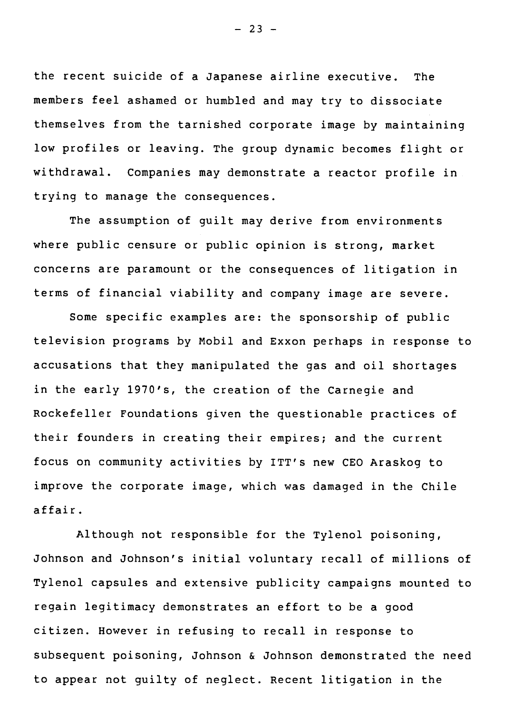the recent suicide of a Japanese airline executive. The members feel ashamed or humbled and may try to dissociate themselves from the tarnished corporate image by maintaining low profiles or leaving. The group dynamic becomes flight or withdrawal. Companies may demonstrate a reactor profile in trying to manage the consequences.

The assumption of guilt may derive from environments where public censure or public opinion is strong, market concerns are paramount or the consequences of litigation in terms of financial viability and company image are severe.

Some specific examples are: the sponsorship of public television programs by Mobil and Exxon perhaps in response to accusations that they manipulated the gas and oil shortages in the early 1970's, the creation of the Carnegie and Rockefeller Foundations given the questionable practices of their founders in creating their empires; and the current focus on community activities by ITT's new CE0 Araskog to improve the corporate image, which was damaged in the Chile affair.

Although not responsible for the Tylenol poisoning, Johnson and Johnson's initial voluntary recall of millions of Tylenol capsules and extensive publicity campaigns mounted to regain legitimacy demonstrates an effort to be a good citizen. However in refusing to recall in response to subsequent poisoning, Johnson & Johnson demonstrated the need to appear not guilty of neglect. Recent litigation in the

 $- 23 -$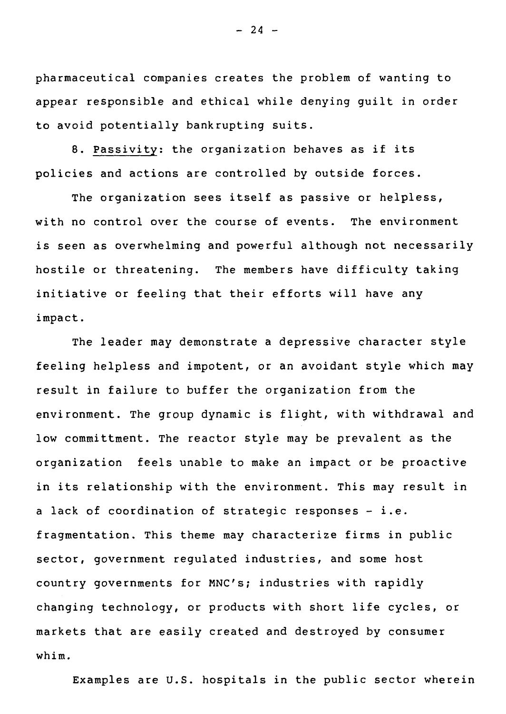pharmaceutical companies creates the problem of wanting to appear responsible and ethical while denying guilt in order to avoid potentially bankrupting suits.

8. Passivity: the organization behaves as if its policies and actions are controlled by outside forces.

The organization sees itself as passive or helpless, with no control over the course of events. The environment is seen as overwhelming and powerful although not necessarily hostile or threatening. The members have difficulty taking initiative or feeling that their efforts will have any impact.

The leader may demonstrate a depressive character style feeling helpless and impotent, or an avoidant style which may result in failure to buffer the organization from the environment. The group dynamic is flight, with withdrawal and low committment. The reactor style may be prevalent as the organization feels unable to make an impact or be proactive in its relationship with the environment. This may result in a Jack of coordination of strategic responses - i.e. fragmentation. This theme may characterize firms in public sector, government regulated industries, and some host country governments for MNC's; industries with rapidly changing technology, or products with short life cycles, or markets that are easily created and destroyed by consumer whim.

Examples are U.S. hospitals in the public sector wherein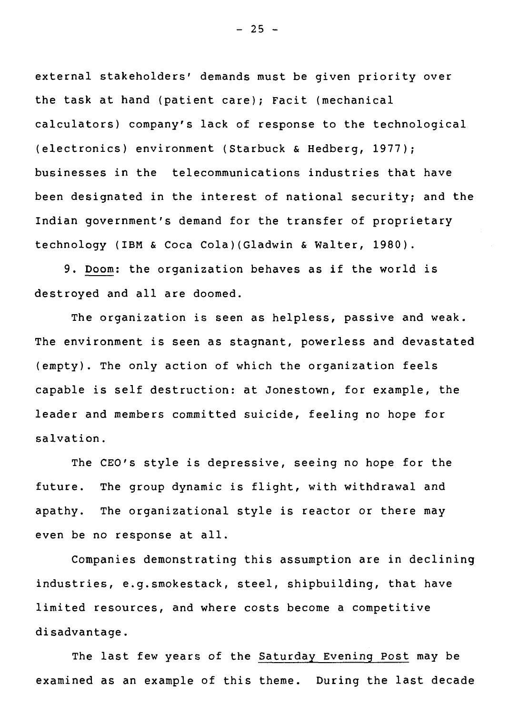external stakeholders' demands must be given priority over the task at hand (patient care); Facit (mechanical calculators) company's Jack of response to the technological (electronics) environment (Starbuck & Hedberg, 1977); businesses in the telecommunications industries that have been designated in the interest of national security; and the Indian government's demand for the transfer of proprietary technology (IBM & Coca Cola)(Gladwin & Walter, 1980).

9. Doom: the organization behaves as if the world is destroyed and all are doomed.

The organization is seen as helpless, passive and weak. The environment is seen as stagnant, powerless and devastated (empty). The only action of which the organization feels capable is self destruction: at Jonestown, for example, the leader and members committed suicide, feeling no hope for salvation.

The CEO's style is depressive, seeing no hope for the future. The group dynamic is flight, with withdrawal and apathy. The organizational style is reactor or there may even be no response at all.

Companies demonstrating this assumption are in declining industries, e.g.smokestack, steel, shipbuilding, that have limited resources, and where costs become a competitive disadvantage.

The last few years of the Saturday Evening Post may be examined as an example of this theme. During the last decade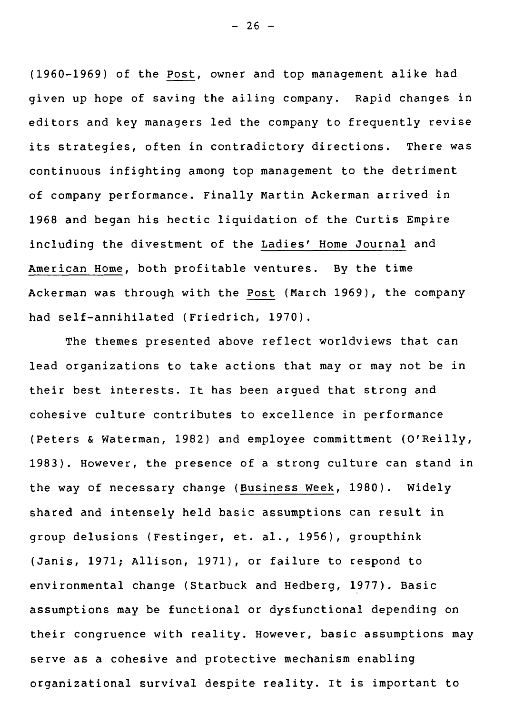(1960-1969) of the Post, owner and top management alike had given up hope of saving the ailing company. Rapid changes in editors and key managers led the company to frequently revise its strategies, often in contradictory directions. There was continuous infighting among top management to the detriment of company performance. Finally Martin Ackerman arrived in 1968 and began his hectic liquidation of the Curtis Empire including the divestment of the Ladies' Home Journal and American Home, both profitable ventures. By the time Ackerman was through with the Post (March 1969), the company had self-annihilated (Friedrich, 1970).

The themes presented above reflect worldviews that can lead organizations to take actions that may or may not be in their best interests. It has been argued that strong and cohesive culture contributes to excellence in performance (Peters & Waterman, 1982) and employee committment (O'Reilly, 1983). However, the presence of a strong culture can stand in the way of necessary change (Business Week, 1980). Widely shared and intensely held basic assumptions can result in group delusions (Festinger, et. al., 1956), groupthink (Janis, 1971; Allison, 1971), or failure to respond to environmental change (Starbuck and Hedberg, 1977). Basic assumptions may be functional or dysfunctional depending on their congruence with reality. However, basic assumptions may serve as a cohesive and protective mechanism enabling organizational survival despite reality. It is important to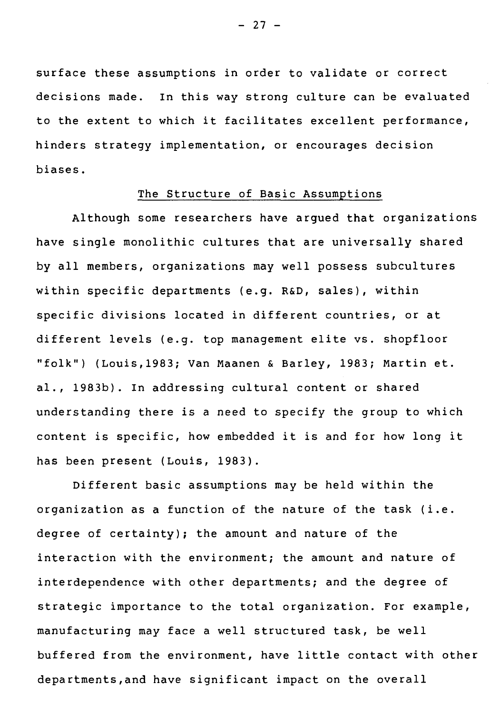surface these assumptions in order to validate or correct decisions made. In this way strong culture can be evaluated to the extent to which it facilitates excellent performance, hinders strategy implementation, or encourages decision biases.

### The Structure of Basic Assumptions

Although some researchers have argued that organizations have single monolithic cultures that are universally shared by all members, organizations may well possess subcultures within specific departments (e.g. **R&D,** sales), within specific divisions located in different countries, or at different levels (e.g. top management elite vs. shopfloor "folk") (Louis,1983; Van Maanen & Barley, 1983; Martin et. al., 1983b). In addressing cultural content or shared understanding there is a need to specify the group to which content is specific, how embedded it is and for how long it has been present (Louis, 1983).

Different basic assumptions may be held within the organization as a function of the nature of the task (i.e. degree of certainty); the amount and nature of the interaction with the environment; the amount and nature of interdependence with other departments; and the degree of strategic importance to the total organization. For example, manufacturing may face a well structured task, be well buffered from the environment, have little contact with other departments,and have significant impact on the overall

- 27 -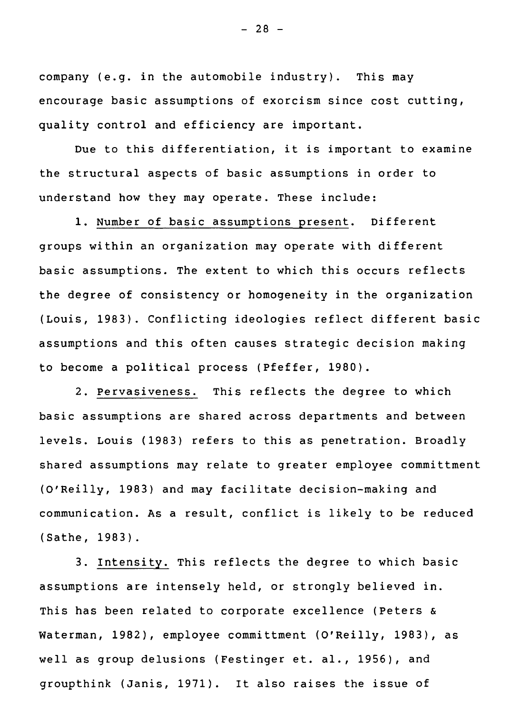company (e.g. in the automobile industry). This may encourage basic assumptions of exorcism since cost cutting, quality control and efficiency are important.

Due to this differentiation, it is important to examine the structural aspects of basic assumptions in order to understand how they may operate. These include:

1. Number of basic assumptions present. Different groups within an organization may operate with different basic assumptions. The extent to which this occurs reflects the degree of consistency or homogeneity in the organization (Louis, 1983). Conflicting ideologies reflect different basic assumptions and this often causes strategic decision making to become a political process (Pfeffer, 1980).

2. Pervasiveness. This reflects the degree to which basic assumptions are shared across departments and between levels. Louis (1983) refers to this as penetration. Broadly shared assumptions may relate to greater employee committment (O'Reilly, 1983) and may facilitate decision-making and communication. As a result, conflict is likely to be reduced (Sathe, 1983).

3. Intensity. This reflects the degree to which basic assumptions are intensely held, or strongly believed in. This has been related to corporate excellence (Peters & Waterman, 1982), employee committment (O'Reilly, 1983), as well as group delusions (Festinger et. al., 1956), and groupthink (Janis, 1971). It also raises the issue of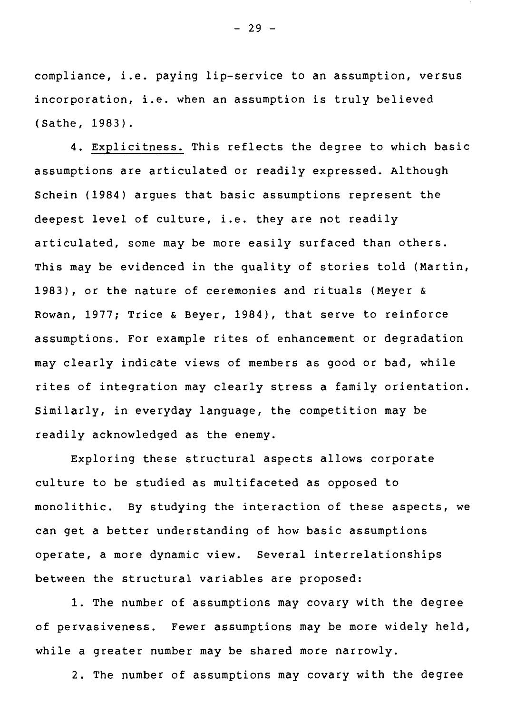compliance, i.e. paying lip-service to an assumption, versus incorporation, i.e. when an assumption is truly believed (Sathe, 1983).

4. Explicitness. This reflects the degree to which basic assumptions are articulated or readily expressed. Although Schein (1984) argues that basic assumptions represent the deepest level of culture, i.e. they are not readily articulated, some may be more easily surfaced than others. This may be evidenced in the quality of stories told (Martin, 1983), or the nature of ceremonies and rituals (Meyer & Rowan, 1977; Trice & Beyer, 1984), that serve to reinforce assumptions. For example rites of enhancement or degradation may clearly indicate views of members as good or bad, while rites of integration may clearly stress a family orientation. Similarly, in everyday language, the competition may be readily acknowledged as the enemy.

Exploring these structural aspects allows corporate culture to be studied as multifaceted as opposed to monolithic. By studying the interaction of these aspects, we can get a better understanding of how basic assumptions operate, a more dynamic view. Several interrelationships between the structural variables are proposed:

1. The number of assumptions may covary with the degree of pervasiveness. Fewer assumptions may be more widely held, while a greater number may be shared more narrowly.

2. The number of assumptions may covary with the degree

 $- 29 -$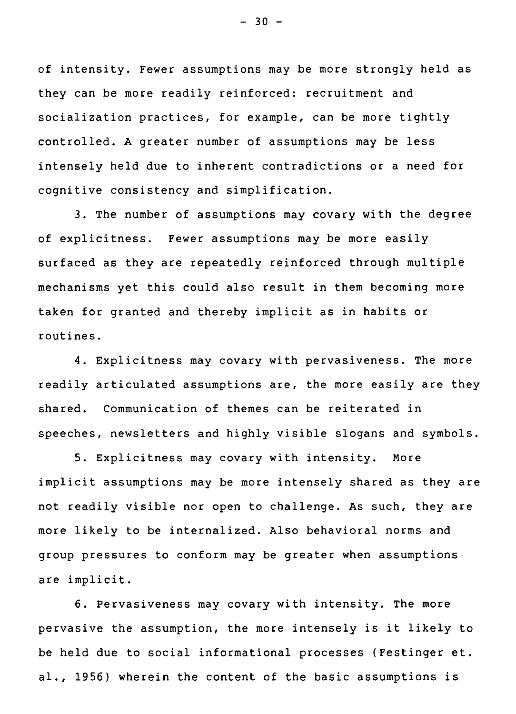of intensity. Fewer assumptions may be more strongly held as they can be more readily reinforced: recruitment and socialization practices, for example, can be more tightly controlled. A greater number of assumptions may be less intensely held due to inherent contradictions or a need for cognitive consistency and simplification.

3. The number of assumptions may covary with the degree of explicitness. Fewer assumptions may be more easily surfaced as they are repeatedly reinforced through multiple mechanisms yet this could also result in them becoming more taken for granted and thereby implicit as in habits or routines.

4. Explicitness may covary with pervasiveness. The more readily articulated assumptions are, the more easily are they shared. Communication of themes can be reiterated in speeches, newsletters and highly visible slogans and symbols.

5. Explicitness may covary with intensity. More implicit assumptions may be more intensely shared as they are not readily visible nor open to challenge. As such, they are more likely to be internalized. Also behavioral norms and group pressures to conform may be greater when assumptions are implicit.

6. Pervasiveness may covary with intensity. The more pervasive the assumption, the more intensely is it likely to be held due to social informational processes (Festinger et. al., 1956) wherein the content of the basic assumptions is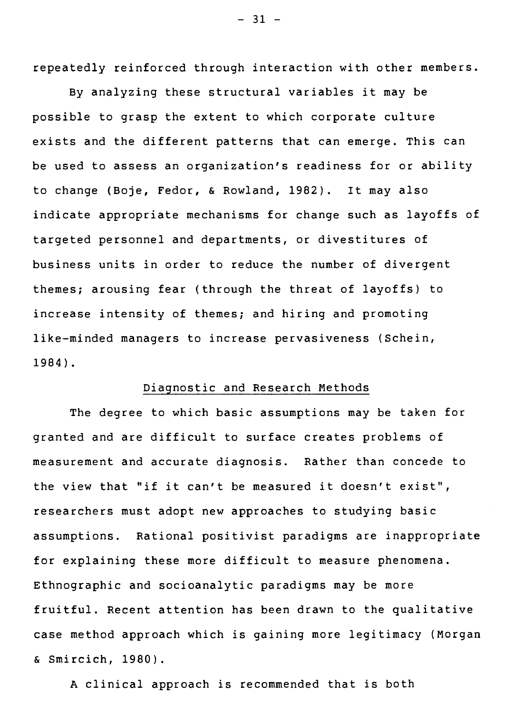repeatedly reinforced through interaction with other members.

By analyzing these structural variables it may be possible to grasp the extent to which corporate culture exists and the different patterns that can emerge. This can be used to assess an organization's readiness for or ability to change (Boje, Fedor, & Rowland, 1982). It may also indicate appropriate mechanisms for change such as layoffs of targeted personnel and departments, or divestitures of business units in order to reduce the number of divergent themes; arousing fear (through the threat of layoffs) to increase intensity of themes; and hiring and promoting like-minded managers to increase pervasiveness (Schein, 1984).

#### Diagnostic and Research Methods

The degree to which basic assumptions may be taken for granted and are difficult to surface creates problems of measurement and accurate diagnosis. Rather than concede to the view that "if it can't be measured it doesn't exist", researchers must adopt new approaches to studying basic assumptions. Rational positivist paradigms are inappropriate for explaining these more difficult to measure phenomena. Ethnographic and socioanalytic paradigms may be more fruitful. Recent attention has been drawn to the qualitative case method approach which is gaining more legitimacy (Morgan & Smircich, 1980).

A clinical approach is recommended that is both

 $- 31 -$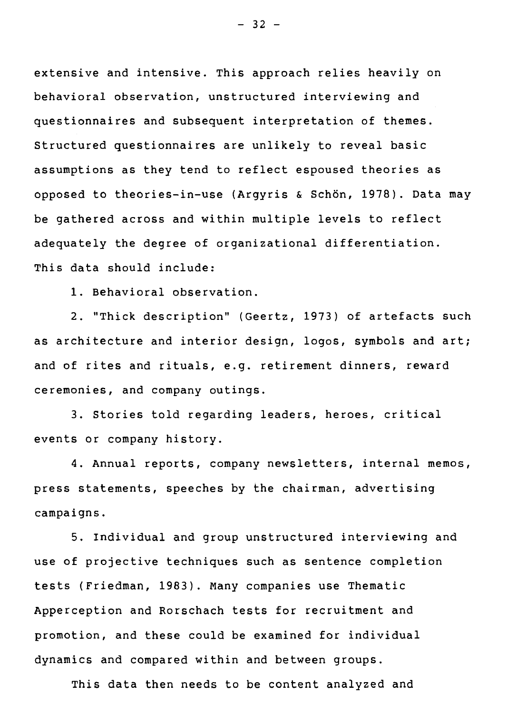extensive and intensive. This approach relies heavily on behavioral observation, unstructured interviewing and questionnaires and subsequent interpretation of themes. Structured questionnaires are unlikely to reveal basic assumptions as they tend to reflect espoused theories as opposed to theories-in-use (Argyris & Schôn, 1978). Data may be gathered across and within multiple levels to reflect adequately the degree of organizational differentiation. This data should include:

1. Behavioral observation.

2. "Thick description" (Geertz, 1973) of artefacts such as architecture and interior design, logos, symbols and art; and of rites and rituals, e.g. retirement dinners, reward ceremonies, and company outings.

3. Stories told regarding leaders, heroes, critical events or company history.

4. Annual reports, company newsletters, internal memos, press statements, speeches by the chairman, advertising campaigns.

5. Individual and group unstructured interviewing and use of projective techniques such as sentence completion tests (Friedman, 1983). Many companies use Thematic Apperception and Rorschach tests for recruitment and promotion, and these could be examined for individual dynamics and compared within and between groups.

This data then needs to be content analyzed and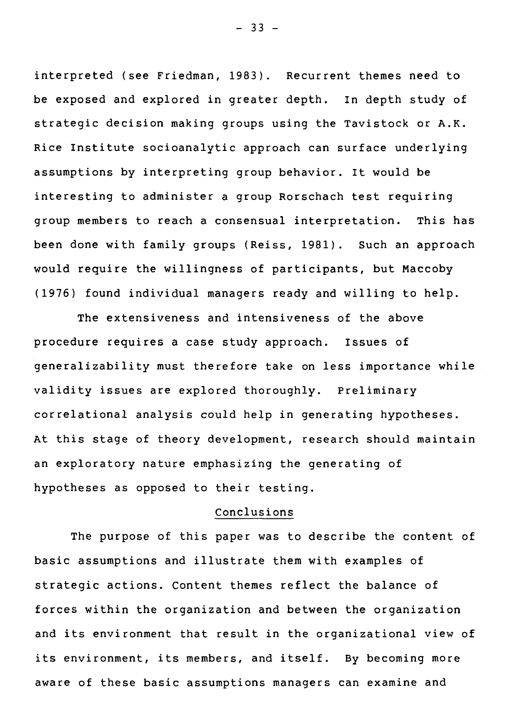interpreted (see Friedman, 1983). Recurrent themes need to be exposed and explored in greater depth. In depth study of strategic decision making groups using the Tavistock or A.K. Rice Institute socioanalytic approach can surface underlying assumptions by interpreting group behavior. It would be interesting to administer a group Rorschach test requiring group members to reach a consensual interpretation. This has been done with family groups (Reiss, 1981). Such an approach would require the willingness of participants, but Maccoby (1976) found individual managers ready and willing to help.

The extensiveness and intensiveness of the above procedure requires a case study approach. Issues of generalizability must therefore take on less importance while validity issues are explored thoroughly. Preliminary correlational analysis could help in generating hypotheses. At this stage of theory development, research should maintain an exploratory nature emphasizing the generating of hypotheses as opposed to their testing.

#### Conclusions

The purpose of this paper was to describe the content of basic assumptions and illustrate them with examples of strategic actions. Content themes reflect the balance of forces within the organization and between the organization and its environment that result in the organizational view of its environment, its members, and itself. By becoming more aware of these basic assumptions managers can examine and

 $- 33 -$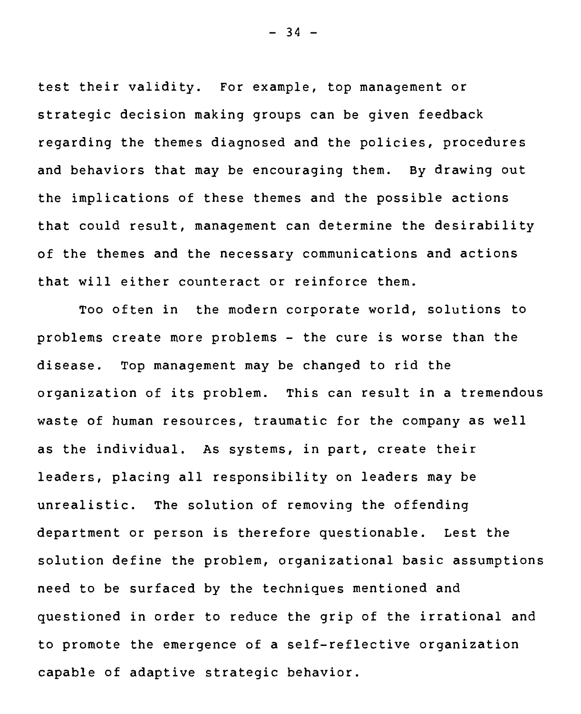test their validity. For example, top management or strategic decision making groups can be given feedback regarding the themes diagnosed and the policies, procedures and behaviors that may be encouraging them. **By** drawing out the implications of these themes and the possible actions that could result, management can determine the desirability of the themes and the necessary communications and actions that will either counteract or reinforce them.

Too often in the modern corporate world, solutions to problems create more problems - the cure is worse than the disease. Top management may be changed to rid the organization of its problem. This can result in a tremendous waste of human resources, traumatic for the company as well as the individual. As systems, in part, create their leaders, placing all responsibility on leaders may be unrealistic. The solution of removing the offending department or person is therefore questionable. Lest the solution define the problem, organizational basic assumptions need to be surfaced by the techniques mentioned and questioned in order to reduce the grip of the irrational and to promote the emergence of a self-reflective organization capable of adaptive strategic behavior.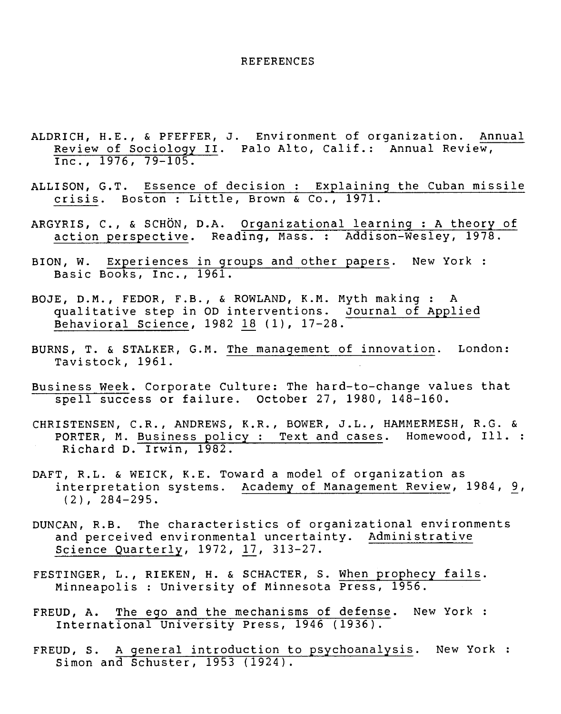#### REFERENCES

- ALDRICH, H.E., & PFEFFER, J. Environment of organization. Annual Review of Sociology II. Palo Alto, Calif.: Annual Review, Inc., 1976, 79-105.
- ALLISON, G.T. Essence of decision : Explaining the Cuban missile crisis. Boston : Little, Brown & Co., 1971.
- ARGYRIS, C., & SCHÔN, D.A. Organizational learning : A theory of action perspective. Reading, Mass. : Addison-Wesley, 1978.
- BION, W. Experiences in groups and other papers. New York : Basic Books, Inc., 1961.
- BOJE, D.M., FEDOR, F.B., & ROWLAND, K.M. Myth making : A qualitative step in OD interventions. Journal of Applied Behavioral Science, 1982 18 (1), 17-28.
- BURNS, T. & STALKER, G.M. The management of innovation. London: Tavistock, 1961.
- Business Week. Corporate Culture: The hard-to-change values that spell success or failure. October 27, 1980, 148-160.
- CHRISTENSEN, C.R., ANDREWS, K.R., BOWER, J.L., HAMMERMESH, R.G. & PORTER, M. Business policy : Text and cases. Homewood, Ill. : Richard D. Irwin, 1982.
- DAFT, R.L. & WEICK, K.E. Toward a model of organization as interpretation systems. Academy of Management Review, 1984, 9, (2), 284-295.
- DUNCAN, R.B. The characteristics of organizational environments and perceived environmental uncertainty. Administrative Science Quarterly, 1972, 17, 313-27.
- FESTINGER, L., RIEKEN, H. & SCHACTER, S. When prophecy fails. Minneapolis : University of Minnesota Press, 1956.
- FREUD, A. The ego and the mechanisms of defense. New York : International University Press, 1946 (1936).
- FREUD, S. A general introduction to psychoanalysis. New York : Simon and Schuster, 1953 (1924).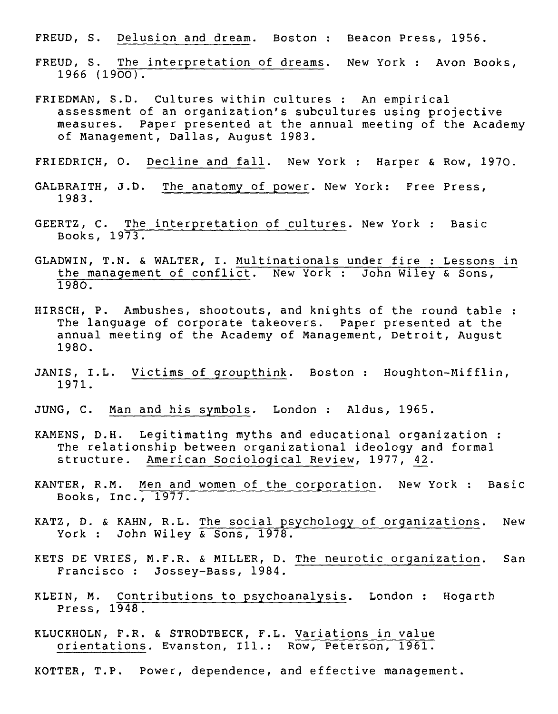FREUD, S. Delusion and dream. Boston : Beacon Press, 1956.

- FREUD, S. The interpretation of dreams. New York : Avon Books, 1966 (1900).
- FRIEDMAN, S.D. Cultures within cultures : An empirical assessment of an organization's subcultures using projective measures. Paper presented at the annual meeting of the Academy of Management, Dallas, August 1983.
- FRIEDRICH, O. Decline and fall. New York : Harper & Row, 1970.
- GALBRAITH, J.D. The anatomy of power. New York: Free Press, 1983.
- GEERTZ, C. The interpretation of cultures. New York : Basic Books, 1973.
- GLADWIN, T.N. & WALTER, I. Multinationals under fire : Lessons in the management of conflict. New York : John Wiley & Sons, 1980.
- HIRSCH, P. Ambushes, shootouts, and knights of the round table : The language of corporate takeovers. Paper presented at the annual meeting of the Academy of Management, Detroit, August 1980.
- JANIS, I.L. Victims of groupthink. Boston : Houghton-Mifflin, 1971.
- JUNG, C. Man and his symbols. London : Aldus, 1965.
- KAMENS, D.H. Legitimating myths and educational organization : The relationship between organizational ideology and formai structure. American Sociological Review, 1977, 42.
- KANTER, R.M. Men and women of the corporation. New York : Basic Books, Inc., 1977.
- KATZ, D. & KAHN, R.L. The social psychology of organizations. New York : John Wiley & Sons, 1978.
- KETS DE VRIES, M.F.R. & MILLER, D. The neurotic organization. San Francisco : Jossey-Bass, 1984.
- KLEIN, M. Contributions to psychoanalysis. London : Hogarth Press, 1948.
- KLUCKHOLN, F.R. & STRODTBECK, F.L. Variations in value orientations. Evanston, Ill.: Row, Peterson, 1961.
- KOTTER, T.P. Power, dependence, and effective management.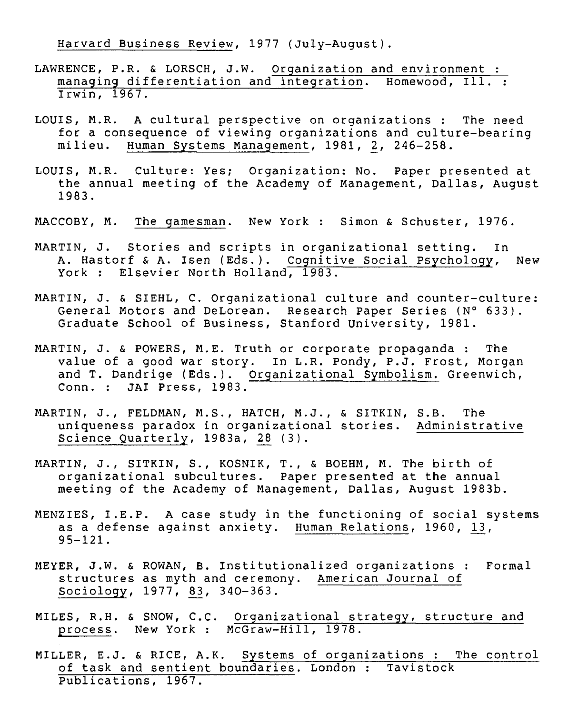Harvard Business Review, 1977 (July-August).

- LAWRENCE, P.R. & LORSCH, J.W. Organization and environment : managing differentiation and integration. Homewood, Ill. : Irwin, 1967.
- LOUIS, M.R. A cultural perspective on organizations : The need for a consequence of viewing organizations and culture-bearing<br>milieu. Human Systems Management. 1981. 2. 246-258. Human Systems Management, 1981, 2, 246-258.
- LOUIS, M.R. Culture: Yes; Organization: No. Paper presented at the annual meeting of the Academy of Management, Dallas, August 1983.
- MACCOBY, M. The gamesman. New York : Simon & Schuster, 1976.
- MARTIN, J. Stories and scripts in organizational setting. In A. Hastorf & A. Isen (Eds.). Cognitive Social Psychology, New York : Elsevier North Holland, 1983.
- MARTIN, J. & SIEHL, C. Organizational culture and counter-culture: General Motors and DeLorean. Research Paper Series (N° 633). Graduate School of Business, Stanford University, 1981.
- MARTIN, J. & POWERS, M.E. Truth or corporate propaganda : The value of a good war story. In L.R. Pondy, P.J. Frost, Morgan and T. Dandrige (Eds.). Organizational Symbolism. Greenwich, Conn. : JAI Press, 1983.
- MARTIN, J., FELDMAN, M.S., HATCH, M.J., & SITKIN, S.B. The uniqueness paradox in organizational stories. Administrative Science Quarterly, 1983a, 28 (3).
- MARTIN, J., SITKIN, S., KOSNIK, T., & BOEHM, M. The birth of organizational subcultures. Paper presented at the annual meeting of the Academy of Management, Dallas, August 1983b.
- MENZIES, I.E.P. A case study in the functioning of social systems as a defense against anxiety. Human Relations, 1960, 13, 95-121.
- MEYER, J.W. & ROWAN, B. Institutionalized organizations : Formal structures as myth and ceremony. American Journal of Sociology, 1977, 83, 340-363.
- MILES, R.H. & SNOW, C.C. Organizational strategy, structure and process. New York : McGraw-Hill, 1978.
- MILLER, E.J. & RICE, A.K. Systems of organizations : The control of task and sentient boundaries. London : Tavistock Publications, 1967.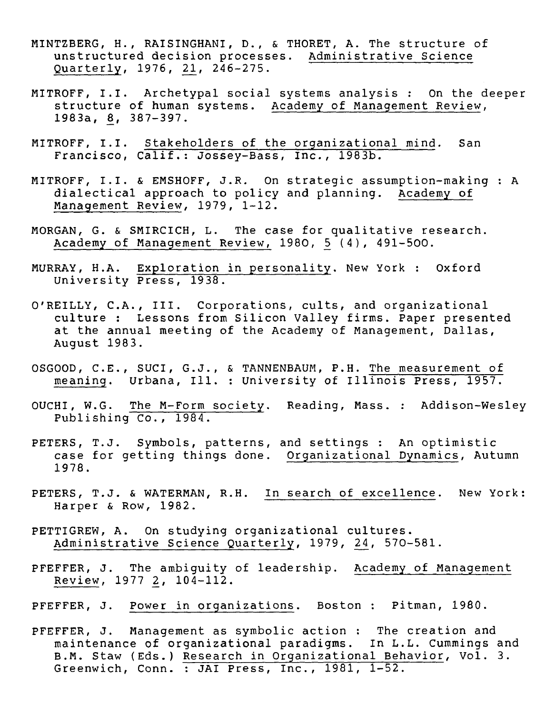- MINTZBERG, H., RAISINGHANI, D., & THORET, A. The structure of unstructured decision processes. Administrative Science Quarterly, 1976, 21, 246-275.
- MITROFF, I.I. Archetypal social systems analysis : On the deeper structure of human systems. Academy of Management Review, 1983a, 8, 387-397.
- MITROFF, I.I. Stakeholders of the organizational mind. San Francisco, Calif.: Jossey-Bass, Inc., 1983b.
- MITROFF, I.I. & EMSHOFF, J.R. On strategic assumption-making : A dialectical approach to policy and planning. Academy of Management Review, 1979, 1-12.
- MORGAN, G. & SMIRCICH, L. The case for qualitative research. Academy of Management Review, 1980, 5 (4), 491-500.
- MURRAY, H.A. Exploration in personality. New York : Oxford University Press, 1938.
- O'REILLY, C.A., III. Corporations, cuits, and organizational culture : Lessons from Silicon Valley firms. Paper presented at the annual meeting of the Academy of Management, Dallas, August 1983.
- OSGOOD, C.E., SUCI, G.J., & TANNENBAUM, P.H. The measurement of meaning. Urbana, Ill. : University of Illinois Press, 1957.
- OUCHI, W.G. The M-Form Society. Reading, Mass. : Addison-Wesley Publishing Co., 1984.
- PETERS, T.J. Symbols, patterns, and settings : An optimistic case for getting things done. Organizational Dynamics, Autumn 1978.
- PETERS, T.J. & WATERMAN, R.H. In search of excellence. New York: Harper & Row, 1982.
- PETTIGREW, A. On studying organizational cultures. Administrative Science Quarterly, 1979, 24, 570-581.
- PFEFFER, J. The ambiguity of leadership. Academy of Management Review, 1977 2, 104-112.
- PFEFFER, J. Power in organizations. Boston : Pitman, 1980.
- PFEFFER, J. Management as symbolic action : The creation and maintenance of organizational paradigms. In L.L. Cummings and B.M. Staw (Eds.) Research in Organizational Behavior, Vol. 3. Greenwich, Conn. : JAI Press, Inc., 1981, 1-52.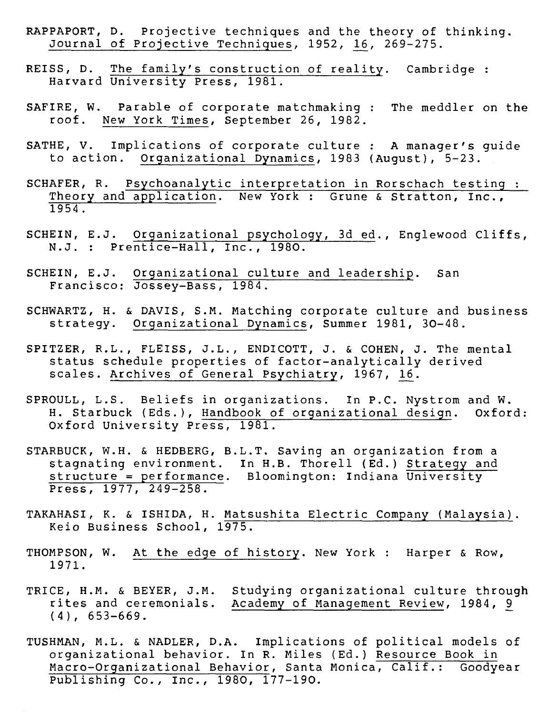- RAPPAPORT, D. Projective techniques and the theory of thinking. Journal of Projective Techniques, 1952, 16, 269-275.
- REISS, D. The family's construction of reality. Cambridge : Harvard University Press, 1981.
- SAFIRE, W. Parable of corporate matchmaking : The meddler on the roof. New York Times, September 26, 1982.
- SATHE, V. Implications of corporate culture : A manager's guide to action. Organizational Dynamics, 1983 (August), 5-23.
- SCHAFER, R. Psychoanalytic interpretation in Rorschach testing : Theory and application. New York : Grune & Stratton, Inc., 1954.
- SCHEIN, E.J. Organizational psychology, 3d ed., Englewood Cliffs, N.J. : Prentice-Hall, Inc., 1980.
- SCHEIN, E.J. Organizational culture and leadership. San Francisco: Jossey-Bass, 1984.
- SCHWARTZ, H. & DAVIS, S.M. Matching corporate culture and business strategy. Organizational Dynamics, Summer 1981, 30-48.
- SPITZER, R.L., FLEISS, J.L., ENDICOTT, J. & COHEN, J. The mental status schedule properties of factor-analytically derived scales. Archives of General Psychiatry, 1967, 16.
- SPROULL, L.S. Beliefs in organizations. In P.C. Nystrom and W.<br>H. Starbuck (Eds.), Handbook of organizational design. Oxford: H. Starbuck (Eds.), Handbook of organizational design. Oxford University Press, 1981.
- STARBUCK, W.H. & HEDBERG, B.L.T. Saving an organization from a stagnating environment. In H.B. Thorell (Ed.) Strategy and structure = performance. Bloomington: Indiana University Press, 1977, 249-258.
- TAKAHASI, K. & ISHIDA, H. Matsushita Electric Company (Malaysia). Keio Business School, 1975.
- THOMPSON, W. At the edge of history. New York : Harper & Row, 1971.
- TRICE, H.M. & BEYER, J.M. Studying organizational culture through<br>rites and ceremonials. Academy of Management Review, 1984, 9 Academy of Management Review, 1984, 9 (4), 653-669.
- TUSHMAN, M.L. & NADLER, D.A. Implications of political models of organizational behavior. In R. Miles (Ed.) Resource Book in Macro-Organizational Behavior, Santa Monica, Calif.: Goodyear Publishing Co., Inc., 1980, 177-190.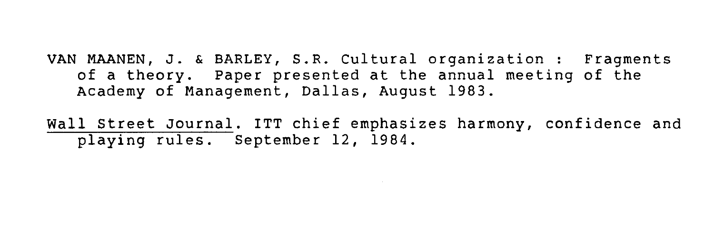VAN MAANEN, J. & BARLEY, S.R. Cultural organization : Fragments of a theory. Paper presented at the annual meeting of the Academy of Management, Dallas, August 1983.

Wall Street Journal. ITT chief emphasizes harmony, confidence and playing rules. September 12, 1984.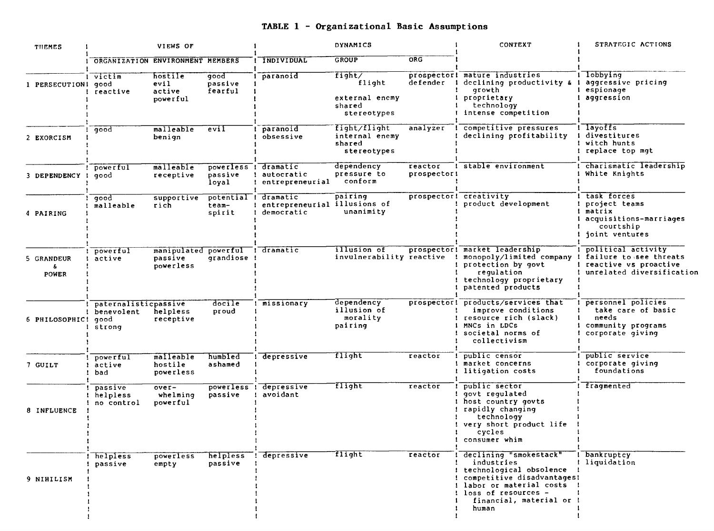# **TABLE 1 - Organizational Basic Assomptions**

| THEMES                     | DYNAMICS<br>VIEWS OF                         |                                                         |                                          | <b>CONTEXT</b>                                         | STRATEGIC ACTIONS                                           |                        |                                                                                                                                                                                            |                                                                                                    |
|----------------------------|----------------------------------------------|---------------------------------------------------------|------------------------------------------|--------------------------------------------------------|-------------------------------------------------------------|------------------------|--------------------------------------------------------------------------------------------------------------------------------------------------------------------------------------------|----------------------------------------------------------------------------------------------------|
|                            | ORGANIZATION ENVIRONMENT MEMBERS             |                                                         |                                          | INDIVIDUAL                                             | <b>GROUP</b>                                                | ORG                    |                                                                                                                                                                                            |                                                                                                    |
| 1 PERSECUTION1 good        | victim<br>reactive                           | hostile<br>evil<br>active<br>powerful                   | good<br>passive<br>fearful               | paranoid                                               | fight/<br>flight<br>external enemy<br>shared<br>stereotypes | defender               | prospector! mature industries<br>declining productivity &<br>qrowth<br>proprietary<br>technology<br>intense competition                                                                    | lobbying<br>aggressive pricing<br>espionage<br>aggression                                          |
| 2 EXORCISM                 | good                                         | malleable<br>benign                                     | eviI                                     | paranoid<br>obsessive                                  | fight/flight<br>internal enemy<br>shared<br>stereotypes     | analyzer               | competitive pressures<br>declining profitability                                                                                                                                           | l layoffs<br>divestitures<br>witch hunts<br>replace top mqt                                        |
| 3 DEPENDENCY !             | powerful<br>qood                             | malleable<br>receptive                                  | powerless ! dramatic<br>passive<br>loyal | autocratic<br>entrepreneurial                          | dependency<br>pressure to<br>conform                        | reactor<br>prospector! | ! stable environment                                                                                                                                                                       | charismatic leadership<br>White Knights                                                            |
| 4 PAIRING                  | qood<br>malleable                            | supportive<br>rich                                      | potential !<br>team-<br>spirit           | dramatic<br>entrepreneurial illusions of<br>democratic | pairing<br>unanimity                                        |                        | prospector! creativity<br>product development                                                                                                                                              | task forces<br>project teams<br>matrix<br>acquisitions-marriages<br>courtship<br>joint ventures    |
| 5 GRANDEUR<br><b>POWER</b> | powerful<br>active                           | manipulated powerful : dramatic<br>passive<br>powerless | grandiose                                |                                                        | illusion of<br>invulnerability reactive                     |                        | prospector! market leadership<br>monopoly/limited company<br>protection by govt<br>regulation<br>technology proprietary<br>patented products                                               | political activity<br>failure to see threats<br>reactive vs proactive<br>unrelated diversification |
| 6 PHILOSOPHIC! good        | paternalisticpassive<br>benevolent<br>strong | helpless<br>receptive                                   | docile<br>proud                          | missionary                                             | dependency<br>illusion of<br>morality<br>pairing            | prospector!            | products/services that<br>improve conditions<br>resource rich (slack)<br>MNCs in LDCs<br>societal norms of<br>collectivism                                                                 | personnel policies<br>take care of basic<br>needs<br>community programs<br>corporate qiving        |
| 7 GUILT                    | powerful<br>! active<br>bad                  | malleable<br>hostile<br>powerless                       | humbled<br>ashamed                       | depressive                                             | flight                                                      | reactor                | public censor<br>market concerns<br>litigation costs                                                                                                                                       | public service<br>corporate giving<br>foundations                                                  |
| 8 INFLUENCE                | passive<br>helpless<br>no control            | $over-$<br>whelming<br>powerful                         | powerless<br>passive                     | depressive<br>avoidant                                 | flight                                                      | reactor                | public sector<br>govt regulated<br>host country govts<br>rapidly changing<br>technology<br>very short product life<br>cycles<br>consumer whim                                              | I fragmented                                                                                       |
| 9 NIHILISM                 | helpless<br>passive                          | powerless<br>empty                                      | helpless<br>passive                      | depressive                                             | flight                                                      | reactor                | declining "smokestack"<br>industries<br>technological obsolence<br>competitive disadvantages!<br>! labor or material costs !<br>! loss of resources -<br>financial, material or !<br>human | I bankruptcy<br>! liquidation                                                                      |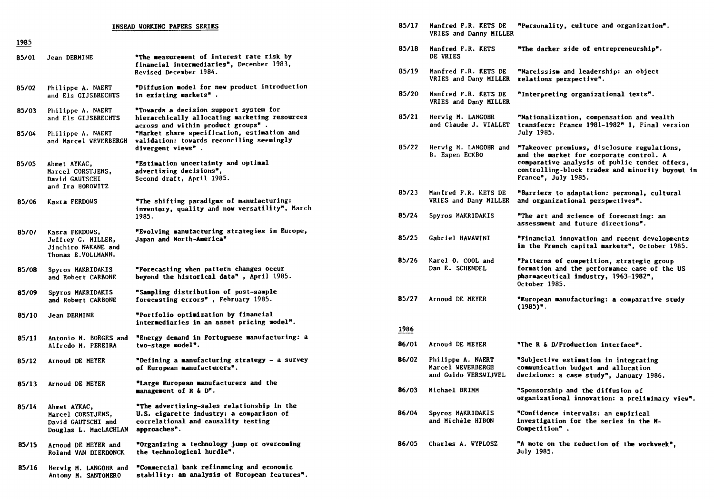|       |                                                                                   | INSEAD VORKING PAPERS SERIES                                                                                                                  | 85/17         | Manfred F.R. KETS DE<br>VRIES and Danny MILLER                 | "Personality, culture and organizatio                                                                                                   |
|-------|-----------------------------------------------------------------------------------|-----------------------------------------------------------------------------------------------------------------------------------------------|---------------|----------------------------------------------------------------|-----------------------------------------------------------------------------------------------------------------------------------------|
| 1985  |                                                                                   |                                                                                                                                               | 85/18         | Manfred F.R. KETS                                              | "The darker side of entrepreneurship"                                                                                                   |
| 85/01 | Jean DERMINE                                                                      | "The measurement of interest rate risk by<br>financial intermediaries", December 1983,                                                        |               | DE VRIES                                                       |                                                                                                                                         |
|       |                                                                                   | Revised December 1984.                                                                                                                        | 85/19         | Manfred F.R. KETS DE<br>VRIES and Dany MILLER                  | "Narcissism and leadership: an object<br>relations perspective".                                                                        |
| 85/02 | Philippe A. NAERT<br>and Els GIJSBRECHTS                                          | "Diffusion model for new product introduction<br>in existing markets".                                                                        | 85/20         | Manfred F.R. KETS DE<br>VRIES and Dany MILLER                  | "Interpreting organizational texts".                                                                                                    |
| 85/03 | Philippe A. NAERT<br>and Els GIJSBRECHTS                                          | "Towards a decision support system for<br>hierarchically allocating marketing resources                                                       | 85/21         | Hervig M. LANGOHR<br>and Claude J. VIALLET                     | "Nationalization, compensation and we                                                                                                   |
| 85/04 | Philippe A. NAERT<br>and Marcel WEVERBERGH                                        | across and within product groups".<br>"Market share specification, estimation and<br>validation: towards reconciling seemingly                |               |                                                                | transfers: France 1981-1982" 1, Final<br>July 1985.                                                                                     |
|       |                                                                                   | divergent views".                                                                                                                             | 85/22         | Herwig M. LANGOHR and<br>B. Espen ECKBO                        | "Takeover premiums, disclosure regula<br>and the market for corporate control.                                                          |
| 85/05 | Ahmet AYKAC,<br>Marcel CORSTJENS,<br>David GAUTSCHI<br>and Ira HOROWITZ           | "Estimation uncertainty and optimal<br>advertising decisions",<br>Second draft, April 1985.                                                   |               |                                                                | comparative analysis of public tender<br>controlling-block trades and minority<br>France", July 1985.                                   |
| 85/06 | Kasra FERDOVS                                                                     | "The shifting paradigms of manufacturing:<br>inventory, quality and now versatility", March                                                   | 85/23         | Manfred F.R. KETS DE<br>VRIES and Dany MILLER                  | "Barriers to adaptation: personal, cu<br>and organizational perspectives".                                                              |
|       |                                                                                   | 1985.                                                                                                                                         | 85/24         | Spyros MAKRIDAKIS                                              | "The art and science of forecasting:<br>assessment and future directions".                                                              |
| 85/07 | Kasra FERDOWS,<br>Jeffrey G. MILLER,<br>Jinchiro NAKANE and<br>Thomas E.VOLLMANN. | "Evolving manufacturing strategies in Europe,<br>Japan and North-America"                                                                     | 85/25         | Gabriel HAWAWINI                                               | "Financial innovation and recent deve<br>in the French capital markets", Octob                                                          |
| 85/08 | Spyros MAKRIDAKIS<br>and Robert CARBONE                                           | "Porecasting when pattern changes occur<br>beyond the historical data", April 1985.                                                           | 85/26         | Karel O. COOL and<br>Dan E. SCHENDEL                           | "Patterns of competition, strategic g<br>formation and the performance case of<br>pharmaceutical industry, 1963-1982",<br>October 1985. |
| 85/09 | Spyros MAKRIDAKIS<br>and Robert CARBONE                                           | "Sampling distribution of post-sample<br>forecasting errors", February 1985.                                                                  | 85/27         | Arnoud DE MEYER                                                | "European manufacturing: a comparative<br>$(1985)^n$ .                                                                                  |
| 85/10 | Jean DERMINE                                                                      | "Portfolio optimization by financial<br>intermediaries in an asset pricing model".                                                            |               |                                                                |                                                                                                                                         |
| 85/11 | Antonio M. BORGES and<br>Alfredo M. PEREIRA                                       | "Energy demand in Portuguese manufacturing: a<br>tvo-stage model".                                                                            | 1986<br>86/01 | Arnoud DE MEYER                                                | "The R & D/Production interface".                                                                                                       |
| 85/12 | Arnoud DE MEYER                                                                   | "Defining a manufacturing strategy - a survey<br>of European manufacturers".                                                                  | 86/02         | Philippe A. NAERT<br>Marcel WEVERBERGH<br>and Guido VERSWIJVEL | "Subjective estimation in integrating<br>communication budget and allocation                                                            |
| 85/13 | Arnoud DE MEYER                                                                   | "Large European manufacturers and the<br>management of R & D".                                                                                | 86/03         | Michael BRIMM                                                  | decisions: a case study", January 198<br>"Sponsorship and the diffusion of                                                              |
| 85/14 | Ahmet AYKAC,<br>Marcel CORSTJENS.<br>David GAUTSCHI and<br>Douglas L. MacLACHLAN  | "The advertising-sales relationship in the<br>U.S. cigarette industry: a comparison of<br>correlational and causality testing<br>approaches". | 86/04         | Spyros MAKRIDAKIS<br>and Michèle HIBON                         | organizational innovation: a prelimina<br>"Confidence intervals: an empirical<br>investigation for the series in the M<br>Competition". |
| 85/15 | Arnoud DE MEYER and<br>Roland VAN DIERDONCK                                       | "Organizing a technology jump or overcoming<br>the technological hurdle".                                                                     | 86/05         | Charles A. WYPLOSZ                                             | "A note on the reduction of the workw<br>July 1985.                                                                                     |
| 85/16 | Hervig M. LANGOHR and<br>Antony M. SANTOMERO                                      | "Commercial bank refinancing and economic<br>stability: an analysis of European features".                                                    |               |                                                                |                                                                                                                                         |

|             | INSEAD WORKING PAPERS SERIES                                                                                                                                                                                              | 85/17 | Manfred F.R. KETS DE<br>VRIES and Danny MILLER                 | "Personality, culture and organization".                                                                                                           |
|-------------|---------------------------------------------------------------------------------------------------------------------------------------------------------------------------------------------------------------------------|-------|----------------------------------------------------------------|----------------------------------------------------------------------------------------------------------------------------------------------------|
|             | "The measurement of interest rate risk by<br>financial intermediaries", December 1983,                                                                                                                                    | 85/18 | Manfred F.R. KETS<br>DE VRIES                                  | "The darker side of entrepreneurship".                                                                                                             |
|             | Revised December 1984.                                                                                                                                                                                                    | 85/19 | Manfred F.R. KETS DE<br>VRIES and Dany MILLER                  | "Narcissism and leadership: an object<br>relations perspective".                                                                                   |
| TS          | "Diffusion model for new product introduction<br>in existing markets".                                                                                                                                                    | 85/20 | Manfred F.R. KETS DE<br>VRIES and Dany MILLER                  | "Interpreting organizational texts".                                                                                                               |
| ΤS<br>ERGH  | "Towards a decision support system for<br>hierarchically allocating marketing resources<br>across and within product groups".<br>"Market share specification, estimation and<br>validation: towards reconciling seemingly | 85/21 | Hervig M. LANGOHR<br>and Claude J. VIALLET                     | "Nationalization, compensation and wealth<br>transfers: Prance 1981-1982" 1, Final version<br>July 1985.                                           |
|             | divergent views".                                                                                                                                                                                                         | 85/22 | Herwig M. LANGOHR and<br>B. Espen ECKBO                        | "Takeover premiums, disclosure regulations,<br>and the market for corporate control. A<br>comparative analysis of public tender offers,            |
|             | "Estimation uncertainty and optimal<br>advertising decisions",<br>Second draft, April 1985.                                                                                                                               |       |                                                                | controlling-block trades and minority buyout in<br>France", July 1985.                                                                             |
|             | "The shifting paradigms of manufacturing:                                                                                                                                                                                 | 85/23 | Manfred F.R. KETS DE<br>VRIES and Dany MILLER                  | "Barriers to adaptation: personal, cultural<br>and organizational perspectives".                                                                   |
|             | inventory, quality and now versatility", March<br>1985.                                                                                                                                                                   | 85/24 | Spyros MAKRIDAKIS                                              | "The art and science of forecasting: an<br>assessment and future directions".                                                                      |
| ınd<br>۱.   | "Evolving manufacturing strategies in Europe,<br>Japan and North-America"                                                                                                                                                 | 85/25 | Gabriel HAWAWINI                                               | "Financial innovation and recent developments<br>in the French capital markets", October 1985.                                                     |
| E.          | "Porecasting when pattern changes occur<br>beyond the historical data", April 1985.                                                                                                                                       | 85/26 | Karel O. COOL and<br>Dan E. SCHENDEL                           | "Patterns of competition, strategic group<br>formation and the performance case of the US<br>pharmaceutical industry, 1963-1982",<br>October 1985. |
| IE.         | "Sampling distribution of post-sample<br>forecasting errors", February 1985.                                                                                                                                              | 85/27 | Arnoud DE MEYER                                                | "European manufacturing: a comparative study<br>$(1985)^n$ .                                                                                       |
|             | "Portfolio optimization by financial<br>intermediaries in an asset pricing model".                                                                                                                                        | 1986  |                                                                |                                                                                                                                                    |
| i and<br>A. | "Energy demand in Portuguese manufacturing: a<br>tvo-stage model".                                                                                                                                                        | 86/01 | Arnoud DE MEYER                                                | "The R & D/Production interface".                                                                                                                  |
|             | "Defining a manufacturing strategy - a survey<br>of European manufacturers".                                                                                                                                              | 86/02 | Philippe A. NAERT<br>Marcel WEVERBERGH<br>and Guido VERSWIJVEL | "Subjective estimation in integrating<br>communication budget and allocation<br>decisions: a case study", January 1986.                            |
|             | "Large European manufacturers and the<br>management of R & D".                                                                                                                                                            | 86/03 | Michael BRIMM                                                  | "Sponsorship and the diffusion of<br>organizational innovation: a preliminary view".                                                               |
| ıd<br>:HLAN | "The advertising-sales relationship in the<br>U.S. cigarette industry: a comparison of<br>correlational and causality testing<br>approaches".                                                                             | 86/04 | Spyros MAKRIDAKIS<br>and Michèle HIBON                         | "Confidence intervals: an empirical<br>investigation for the series in the M-<br>Competition".                                                     |
| ınd<br>NCK  | "Organizing a technology jump or overcoming<br>the technological hurdle".                                                                                                                                                 | 86/05 | Charles A. WYPLOSZ                                             | "A note on the reduction of the workweek",<br>July 1985.                                                                                           |
|             |                                                                                                                                                                                                                           |       |                                                                |                                                                                                                                                    |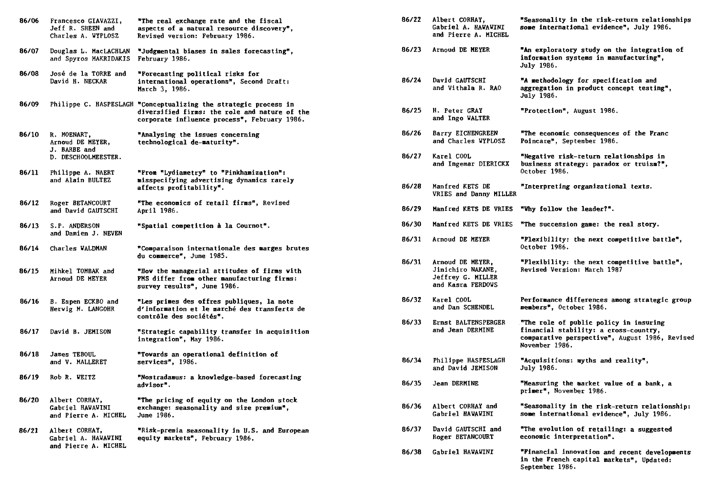| 86/06 | Francesco GIAVAZZI,<br>Jeff R. SHEEN and<br>Charles A. WYPLOSZ         | "The real exchange rate and the fiscal<br>aspects of a natural resource discovery",<br>Revised version: February 1986.                                            |
|-------|------------------------------------------------------------------------|-------------------------------------------------------------------------------------------------------------------------------------------------------------------|
| 86/07 | Douglas L. MacLACHLAN<br>and Spyros MAKRIDAKIS                         | "Judgmental biases in sales forecasting",<br>February 1986.                                                                                                       |
| 86/08 | José de la TORRE and<br>David H. NECKAR                                | "Forecasting political risks for<br>international operations", Second Draft:<br>March 3, 1986.                                                                    |
| 86/09 |                                                                        | Philippe C. HASPESLAGH "Conceptualizing the strategic process in<br>diversified firms: the role and nature of the<br>corporate influence process", February 1986. |
| 86/10 | R. MOENART,<br>Arnoud DE MEYER.<br>J. BARBE and<br>D. DESCHOOLMEESTER. | "Analysing the issues concerning<br>technological de-maturity".                                                                                                   |
| 86/11 | Philippe A. NAERT<br>and Alain BULTEZ                                  | "From "Lydiametry" to "Pinkhamization":<br>misspecifying advertising dynamics rarely<br>affects profitability".                                                   |
| 86/12 | Roger BETANCOURT<br>and David GAUTSCHI                                 | "The economics of retail firms", Revised<br>April 1986.                                                                                                           |
| 86/13 | S.P. ANDERSON<br>and Damien J. NEVEN                                   | "Spatial competition à la Cournot".                                                                                                                               |
| 86/14 | Charles WALDMAN                                                        | "Comparaison internationale des marges brutes<br>du commerce", June 1985.                                                                                         |
| 86/15 | Mihkel TOMBAK and<br>Arnoud DE MEYER                                   | "How the managerial attitudes of firms with<br>PMS differ from other manufacturing firms:<br>survey results", June 1986.                                          |
| 86/16 | B. Espen ECKBO and<br>Herwig M. LANGOHR                                | "Les primes des offres publiques, la note<br>d'information et le marché des transferts de<br>contrôle des sociétés".                                              |
| 86/17 | David B. JEMISON                                                       | "Strategic capability transfer in acquisition<br>integration", May 1986.                                                                                          |
| 86/18 | James TEBOUL<br>and V. MALLERET                                        | "Towards an operational definition of<br>services", 1986.                                                                                                         |
| 86/19 | Rob R. WEITZ                                                           | "Nostradamus: a knowledge-based forecasting<br>advisor".                                                                                                          |
| 86/20 | Albert CORHAY,<br>Gabriel HAWAWINI<br>and Pierre A. MICHEL             | "The pricing of equity on the London stock<br>exchange: seasonality and size premium",<br>June 1986.                                                              |
| 86/21 | Albert CORHAY,<br>Gabriel A. HAWAWINI<br>and Pierre A. MICHEL          | "Risk-premia seasonality in U.S. and European<br>equity markets", February 1986.                                                                                  |
|       |                                                                        |                                                                                                                                                                   |

| 86/22 | Albert CORHAY,<br>Gabriel A. HAWAWINI<br>and Pierre A. MICHEL                   | "Seasonality in the risk-return relationships<br>some international evidence", July 1986.                                                           |
|-------|---------------------------------------------------------------------------------|-----------------------------------------------------------------------------------------------------------------------------------------------------|
| 86/23 | Arnoud DE MEYER                                                                 | "An exploratory study on the integration of<br>information systems in manufacturing",<br>July 1986.                                                 |
| 86/24 | David GAUTSCHI<br>and Vithala R. RAO                                            | "A methodology for specification and<br>aggregation in product concept testing",<br>July 1986.                                                      |
| 86/25 | H. Peter GRAY<br>and Ingo WALTER                                                | "Protection", August 1986.                                                                                                                          |
| 86/26 | Barry EICHENGREEN<br>and Charles WYPLOSZ                                        | "The economic consequences of the Franc<br>Poincare", September 1986.                                                                               |
| 86/27 | Karel COOL<br>and Ingemar DIERICKX                                              | "Negative risk-return relationships in<br>business strategy: paradox or truism?",<br>October 1986.                                                  |
| 86/28 | Manfred KETS DE<br>VRIES and Danny MILLER                                       | "Interpreting organizational texts.                                                                                                                 |
| 86/29 | Manfred KETS DE VRIES                                                           | "Why follow the leader?".                                                                                                                           |
| 86/30 | Manfred KETS DE VRIES                                                           | "The succession game: the real story.                                                                                                               |
| 86/31 | Arnoud DE MEYER                                                                 | "Plexibility: the next competitive battle",<br>October 1986.                                                                                        |
| 86/31 | Arnoud DE MEYER,<br>Jinichiro NAKANE,<br>Jeffrey G. MILLER<br>and Kasra FERDOWS | "Plexibility: the next competitive battle",<br>Revised Version: March 1987                                                                          |
| 86/32 | Karel COOL<br>and Dan SCHENDEL                                                  | Performance differences among strategic group<br>members", October 1986.                                                                            |
| 86/33 | Ernst BALTENSPERGER<br>and Jean DERMINE                                         | "The role of public policy in insuring<br>financial stability: a cross-country,<br>comparative perspective", August 1986, Revised<br>November 1986. |
| 86/34 | Philippe HASPESLAGH<br>and David JEMISON                                        | "Acquisitions: myths and reality",<br>July 1986.                                                                                                    |
| 86/35 | Jean DERMINE                                                                    | "Measuring the market value of a bank, a<br>primer", November 1986.                                                                                 |
| 86/36 | Albert CORHAY and<br>Gabriel HAWAWINI                                           | "Seasonality in the risk-return relationship:<br>some international evidence", July 1986.                                                           |
| 86/37 | David GAUTSCHI and<br>Roger BETANCOURT                                          | "The evolution of retailing: a suggested<br>economic interpretation".                                                                               |
| 86/38 | Gabriel HAWAWINI                                                                | "Financial innovation and recent developments<br>in the French capital markets", Updated:<br>September 1986.                                        |